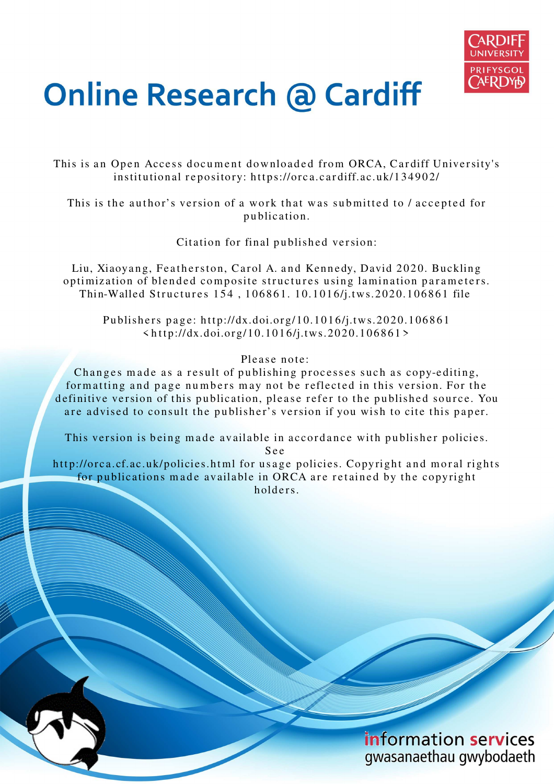

# **Online Research @ Cardiff**

This is an Open Access document downloaded from ORCA, Cardiff University's institutional repository: https://orca.cardiff.ac.uk/134902/

This is the author's version of a work that was submitted to / accepted for p u blication.

Citation for final published version:

Liu, Xiaoyang, Featherston, Carol A. and Kennedy, David 2020. Buckling optimization of blended composite structures using lamination parameters. Thin-Walled Structures 154, 106861. 10.1016/j.tws.2020.106861 file

Publishers page: http://dx.doi.org/10.1016/j.tws.2020.106861  $\langle \text{http://dx.doi.org/10.1016/j.tws.2020.106861>}$ 

Please note:

Changes made as a result of publishing processes such as copy-editing, formatting and page numbers may not be reflected in this version. For the definitive version of this publication, please refer to the published source. You are advised to consult the publisher's version if you wish to cite this paper.

This version is being made available in accordance with publisher policies.

S e e

http://orca.cf.ac.uk/policies.html for usage policies. Copyright and moral rights for publications made available in ORCA are retained by the copyright holders.

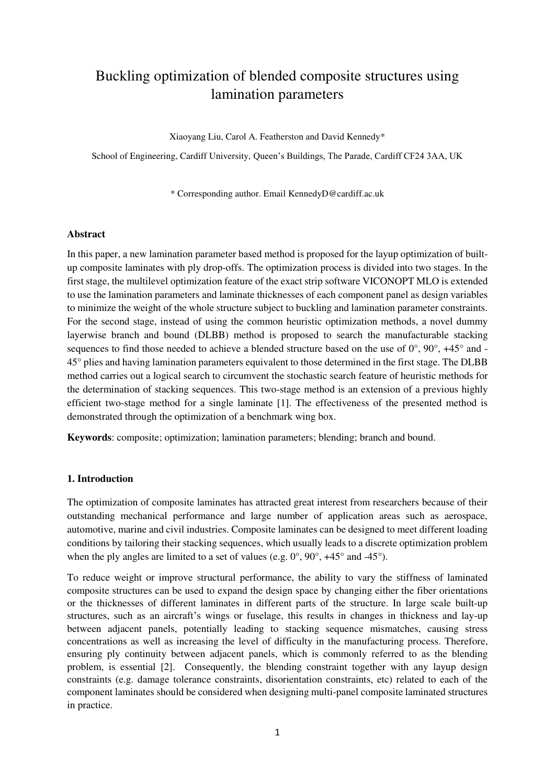# Buckling optimization of blended composite structures using lamination parameters

Xiaoyang Liu, Carol A. Featherston and David Kennedy\*

School of Engineering, Cardiff University, Queen's Buildings, The Parade, Cardiff CF24 3AA, UK

\* Corresponding author. Email KennedyD@cardiff.ac.uk

#### **Abstract**

In this paper, a new lamination parameter based method is proposed for the layup optimization of builtup composite laminates with ply drop-offs. The optimization process is divided into two stages. In the first stage, the multilevel optimization feature of the exact strip software VICONOPT MLO is extended to use the lamination parameters and laminate thicknesses of each component panel as design variables to minimize the weight of the whole structure subject to buckling and lamination parameter constraints. For the second stage, instead of using the common heuristic optimization methods, a novel dummy layerwise branch and bound (DLBB) method is proposed to search the manufacturable stacking sequences to find those needed to achieve a blended structure based on the use of  $0^{\circ}$ ,  $90^{\circ}$ ,  $+45^{\circ}$  and -45° plies and having lamination parameters equivalent to those determined in the first stage. The DLBB method carries out a logical search to circumvent the stochastic search feature of heuristic methods for the determination of stacking sequences. This two-stage method is an extension of a previous highly efficient two-stage method for a single laminate [1]. The effectiveness of the presented method is demonstrated through the optimization of a benchmark wing box.

**Keywords**: composite; optimization; lamination parameters; blending; branch and bound.

# **1. Introduction**

The optimization of composite laminates has attracted great interest from researchers because of their outstanding mechanical performance and large number of application areas such as aerospace, automotive, marine and civil industries. Composite laminates can be designed to meet different loading conditions by tailoring their stacking sequences, which usually leads to a discrete optimization problem when the ply angles are limited to a set of values (e.g. 0°, 90°, +45° and -45°).

To reduce weight or improve structural performance, the ability to vary the stiffness of laminated composite structures can be used to expand the design space by changing either the fiber orientations or the thicknesses of different laminates in different parts of the structure. In large scale built-up structures, such as an aircraft's wings or fuselage, this results in changes in thickness and lay-up between adjacent panels, potentially leading to stacking sequence mismatches, causing stress concentrations as well as increasing the level of difficulty in the manufacturing process. Therefore, ensuring ply continuity between adjacent panels, which is commonly referred to as the blending problem, is essential [2]. Consequently, the blending constraint together with any layup design constraints (e.g. damage tolerance constraints, disorientation constraints, etc) related to each of the component laminates should be considered when designing multi-panel composite laminated structures in practice.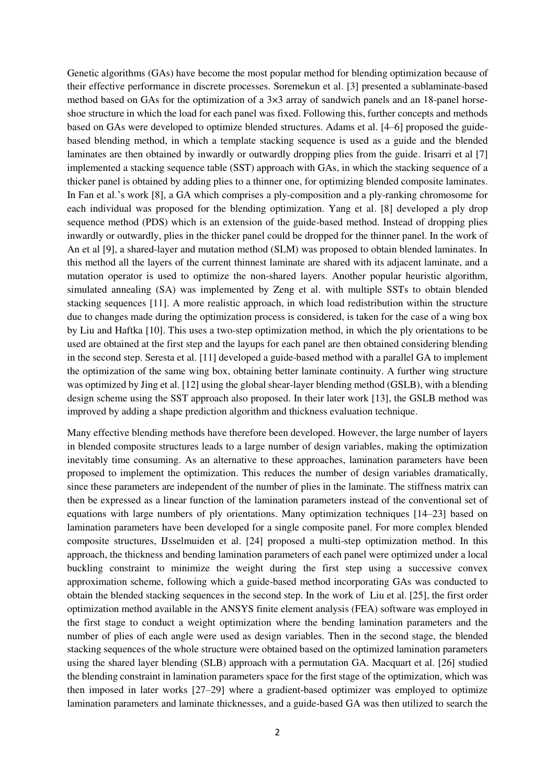Genetic algorithms (GAs) have become the most popular method for blending optimization because of their effective performance in discrete processes. Soremekun et al. [3] presented a sublaminate-based method based on GAs for the optimization of a  $3\times3$  array of sandwich panels and an 18-panel horseshoe structure in which the load for each panel was fixed. Following this, further concepts and methods based on GAs were developed to optimize blended structures. Adams et al. [4–6] proposed the guidebased blending method, in which a template stacking sequence is used as a guide and the blended laminates are then obtained by inwardly or outwardly dropping plies from the guide. Irisarri et al [7] implemented a stacking sequence table (SST) approach with GAs, in which the stacking sequence of a thicker panel is obtained by adding plies to a thinner one, for optimizing blended composite laminates. In Fan et al.'s work [8], a GA which comprises a ply-composition and a ply-ranking chromosome for each individual was proposed for the blending optimization. Yang et al. [8] developed a ply drop sequence method (PDS) which is an extension of the guide-based method. Instead of dropping plies inwardly or outwardly, plies in the thicker panel could be dropped for the thinner panel. In the work of An et al [9], a shared-layer and mutation method (SLM) was proposed to obtain blended laminates. In this method all the layers of the current thinnest laminate are shared with its adjacent laminate, and a mutation operator is used to optimize the non-shared layers. Another popular heuristic algorithm, simulated annealing (SA) was implemented by Zeng et al. with multiple SSTs to obtain blended stacking sequences [11]. A more realistic approach, in which load redistribution within the structure due to changes made during the optimization process is considered, is taken for the case of a wing box by Liu and Haftka [10]. This uses a two-step optimization method, in which the ply orientations to be used are obtained at the first step and the layups for each panel are then obtained considering blending in the second step. Seresta et al. [11] developed a guide-based method with a parallel GA to implement the optimization of the same wing box, obtaining better laminate continuity. A further wing structure was optimized by Jing et al. [12] using the global shear-layer blending method (GSLB), with a blending design scheme using the SST approach also proposed. In their later work [13], the GSLB method was improved by adding a shape prediction algorithm and thickness evaluation technique.

Many effective blending methods have therefore been developed. However, the large number of layers in blended composite structures leads to a large number of design variables, making the optimization inevitably time consuming. As an alternative to these approaches, lamination parameters have been proposed to implement the optimization. This reduces the number of design variables dramatically, since these parameters are independent of the number of plies in the laminate. The stiffness matrix can then be expressed as a linear function of the lamination parameters instead of the conventional set of equations with large numbers of ply orientations. Many optimization techniques [14–23] based on lamination parameters have been developed for a single composite panel. For more complex blended composite structures, IJsselmuiden et al. [24] proposed a multi-step optimization method. In this approach, the thickness and bending lamination parameters of each panel were optimized under a local buckling constraint to minimize the weight during the first step using a successive convex approximation scheme, following which a guide-based method incorporating GAs was conducted to obtain the blended stacking sequences in the second step. In the work of Liu et al. [25], the first order optimization method available in the ANSYS finite element analysis (FEA) software was employed in the first stage to conduct a weight optimization where the bending lamination parameters and the number of plies of each angle were used as design variables. Then in the second stage, the blended stacking sequences of the whole structure were obtained based on the optimized lamination parameters using the shared layer blending (SLB) approach with a permutation GA. Macquart et al. [26] studied the blending constraint in lamination parameters space for the first stage of the optimization, which was then imposed in later works [27–29] where a gradient-based optimizer was employed to optimize lamination parameters and laminate thicknesses, and a guide-based GA was then utilized to search the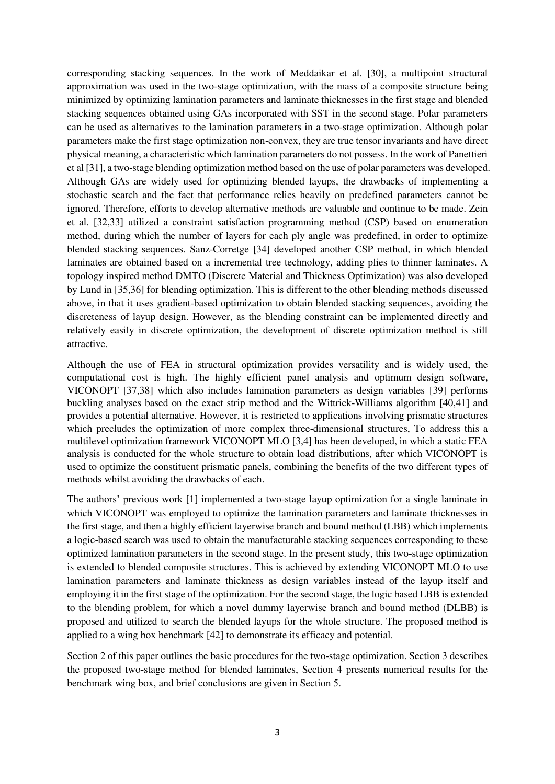corresponding stacking sequences. In the work of Meddaikar et al. [30], a multipoint structural approximation was used in the two-stage optimization, with the mass of a composite structure being minimized by optimizing lamination parameters and laminate thicknesses in the first stage and blended stacking sequences obtained using GAs incorporated with SST in the second stage. Polar parameters can be used as alternatives to the lamination parameters in a two-stage optimization. Although polar parameters make the first stage optimization non-convex, they are true tensor invariants and have direct physical meaning, a characteristic which lamination parameters do not possess. In the work of Panettieri et al [31], a two-stage blending optimization method based on the use of polar parameters was developed. Although GAs are widely used for optimizing blended layups, the drawbacks of implementing a stochastic search and the fact that performance relies heavily on predefined parameters cannot be ignored. Therefore, efforts to develop alternative methods are valuable and continue to be made. Zein et al. [32,33] utilized a constraint satisfaction programming method (CSP) based on enumeration method, during which the number of layers for each ply angle was predefined, in order to optimize blended stacking sequences. Sanz-Corretge [34] developed another CSP method, in which blended laminates are obtained based on a incremental tree technology, adding plies to thinner laminates. A topology inspired method DMTO (Discrete Material and Thickness Optimization) was also developed by Lund in [35,36] for blending optimization. This is different to the other blending methods discussed above, in that it uses gradient-based optimization to obtain blended stacking sequences, avoiding the discreteness of layup design. However, as the blending constraint can be implemented directly and relatively easily in discrete optimization, the development of discrete optimization method is still attractive.

Although the use of FEA in structural optimization provides versatility and is widely used, the computational cost is high. The highly efficient panel analysis and optimum design software, VICONOPT [37,38] which also includes lamination parameters as design variables [39] performs buckling analyses based on the exact strip method and the Wittrick-Williams algorithm [40,41] and provides a potential alternative. However, it is restricted to applications involving prismatic structures which precludes the optimization of more complex three-dimensional structures, To address this a multilevel optimization framework VICONOPT MLO [3,4] has been developed, in which a static FEA analysis is conducted for the whole structure to obtain load distributions, after which VICONOPT is used to optimize the constituent prismatic panels, combining the benefits of the two different types of methods whilst avoiding the drawbacks of each.

The authors' previous work [1] implemented a two-stage layup optimization for a single laminate in which VICONOPT was employed to optimize the lamination parameters and laminate thicknesses in the first stage, and then a highly efficient layerwise branch and bound method (LBB) which implements a logic-based search was used to obtain the manufacturable stacking sequences corresponding to these optimized lamination parameters in the second stage. In the present study, this two-stage optimization is extended to blended composite structures. This is achieved by extending VICONOPT MLO to use lamination parameters and laminate thickness as design variables instead of the layup itself and employing it in the first stage of the optimization. For the second stage, the logic based LBB is extended to the blending problem, for which a novel dummy layerwise branch and bound method (DLBB) is proposed and utilized to search the blended layups for the whole structure. The proposed method is applied to a wing box benchmark [42] to demonstrate its efficacy and potential.

Section 2 of this paper outlines the basic procedures for the two-stage optimization. Section 3 describes the proposed two-stage method for blended laminates, Section 4 presents numerical results for the benchmark wing box, and brief conclusions are given in Section 5.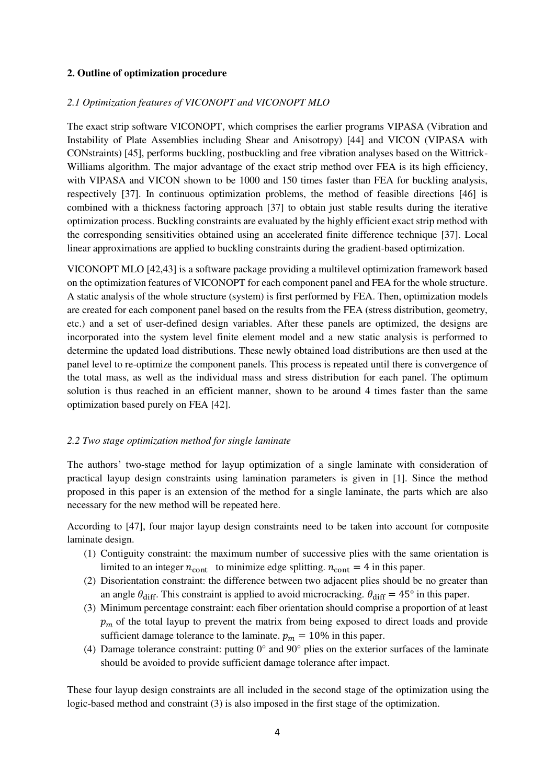# **2. Outline of optimization procedure**

# *2.1 Optimization features of VICONOPT and VICONOPT MLO*

The exact strip software VICONOPT, which comprises the earlier programs VIPASA (Vibration and Instability of Plate Assemblies including Shear and Anisotropy) [44] and VICON (VIPASA with CONstraints) [45], performs buckling, postbuckling and free vibration analyses based on the Wittrick-Williams algorithm. The major advantage of the exact strip method over FEA is its high efficiency, with VIPASA and VICON shown to be 1000 and 150 times faster than FEA for buckling analysis, respectively [37]. In continuous optimization problems, the method of feasible directions [46] is combined with a thickness factoring approach [37] to obtain just stable results during the iterative optimization process. Buckling constraints are evaluated by the highly efficient exact strip method with the corresponding sensitivities obtained using an accelerated finite difference technique [37]. Local linear approximations are applied to buckling constraints during the gradient-based optimization.

VICONOPT MLO [42,43] is a software package providing a multilevel optimization framework based on the optimization features of VICONOPT for each component panel and FEA for the whole structure. A static analysis of the whole structure (system) is first performed by FEA. Then, optimization models are created for each component panel based on the results from the FEA (stress distribution, geometry, etc.) and a set of user-defined design variables. After these panels are optimized, the designs are incorporated into the system level finite element model and a new static analysis is performed to determine the updated load distributions. These newly obtained load distributions are then used at the panel level to re-optimize the component panels. This process is repeated until there is convergence of the total mass, as well as the individual mass and stress distribution for each panel. The optimum solution is thus reached in an efficient manner, shown to be around 4 times faster than the same optimization based purely on FEA [42].

#### *2.2 Two stage optimization method for single laminate*

The authors' two-stage method for layup optimization of a single laminate with consideration of practical layup design constraints using lamination parameters is given in [1]. Since the method proposed in this paper is an extension of the method for a single laminate, the parts which are also necessary for the new method will be repeated here.

According to [47], four major layup design constraints need to be taken into account for composite laminate design.

- (1) Contiguity constraint: the maximum number of successive plies with the same orientation is limited to an integer  $n_{\text{cont}}$  to minimize edge splitting.  $n_{\text{cont}} = 4$  in this paper.
- (2) Disorientation constraint: the difference between two adjacent plies should be no greater than an angle  $\theta_{\text{diff}}$ . This constraint is applied to avoid microcracking.  $\theta_{\text{diff}} = 45^{\circ}$  in this paper.
- (3) Minimum percentage constraint: each fiber orientation should comprise a proportion of at least  $p<sub>m</sub>$  of the total layup to prevent the matrix from being exposed to direct loads and provide sufficient damage tolerance to the laminate.  $p_m = 10\%$  in this paper.
- (4) Damage tolerance constraint: putting 0° and 90° plies on the exterior surfaces of the laminate should be avoided to provide sufficient damage tolerance after impact.

These four layup design constraints are all included in the second stage of the optimization using the logic-based method and constraint (3) is also imposed in the first stage of the optimization.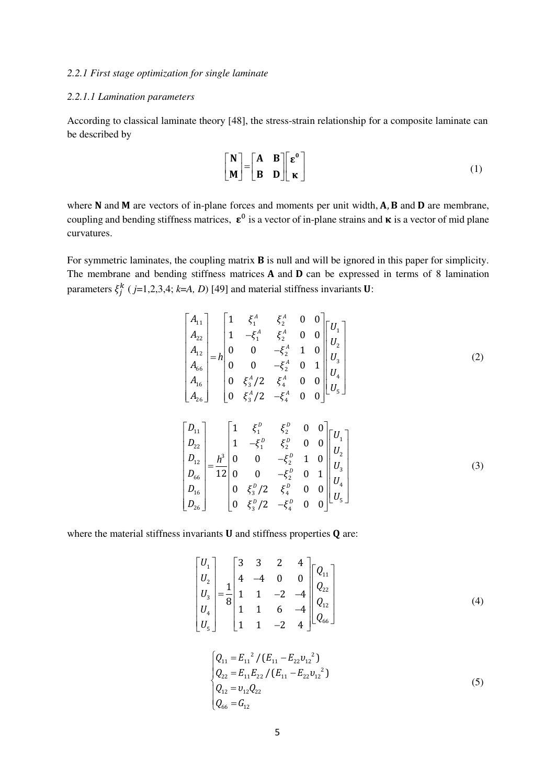#### *2.2.1 First stage optimization for single laminate*

# *2.2.1.1 Lamination parameters*

According to classical laminate theory [48], the stress-strain relationship for a composite laminate can be described by

$$
\begin{bmatrix} \mathbf{N} \\ \mathbf{M} \end{bmatrix} = \begin{bmatrix} \mathbf{A} & \mathbf{B} \\ \mathbf{B} & \mathbf{D} \end{bmatrix} \begin{bmatrix} \varepsilon^0 \\ \mathbf{\kappa} \end{bmatrix}
$$
 (1)

where  $N$  and  $M$  are vectors of in-plane forces and moments per unit width,  $A$ ,  $B$  and  $D$  are membrane, coupling and bending stiffness matrices,  $\epsilon^0$  is a vector of in-plane strains and  $\kappa$  is a vector of mid plane curvatures.

For symmetric laminates, the coupling matrix **B** is null and will be ignored in this paper for simplicity. The membrane and bending stiffness matrices  $A$  and  $D$  can be expressed in terms of 8 lamination parameters  $\xi_j^k$  (*j*=1,2,3,4; *k*=*A*, *D*) [49] and material stiffness invariants **U**:

$$
\begin{bmatrix}\nA_{11} \\
A_{22} \\
A_{12} \\
A_{13} \\
A_{14} \\
A_{15} \\
A_{16} \\
A_{26}\n\end{bmatrix} = h \begin{bmatrix}\n1 & \xi_1^A & \xi_2^A & 0 & 0 \\
0 & 0 & -\xi_2^A & 1 & 0 \\
0 & 0 & -\xi_2^A & 0 & 1 \\
0 & \xi_3^A / 2 & \xi_4^A & 0 & 0 \\
0 & \xi_3^A / 2 & -\xi_4^A & 0 & 0\n\end{bmatrix} \begin{bmatrix}\nU_1 \\
U_2 \\
U_3 \\
U_4 \\
U_5\n\end{bmatrix}
$$
\n(2)\n
$$
\begin{bmatrix}\nD_{11} \\
D_{12} \\
D_{22} \\
D_{12} \\
D_{16} \\
D_{16}\n\end{bmatrix} = \frac{h^3}{12} \begin{bmatrix}\n1 & \xi_1^D & \xi_2^D & 0 & 0 \\
0 & 0 & -\xi_2^D & 1 & 0 \\
0 & 0 & -\xi_2^D & 0 & 1 \\
0 & \xi_3^D / 2 & \xi_4^D & 0 & 0 \\
0 & \xi_3^D / 2 & -\xi_4^D & 0 & 0\n\end{bmatrix} \begin{bmatrix}\nU_1 \\
U_2 \\
U_3 \\
U_4 \\
U_5\n\end{bmatrix}
$$
\n(3)

where the material stiffness invariants  $U$  and stiffness properties  $Q$  are:

$$
\begin{bmatrix} U_1 \\ U_2 \\ U_3 \\ U_4 \\ U_5 \end{bmatrix} = \frac{1}{8} \begin{bmatrix} 3 & 3 & 2 & 4 \\ 4 & -4 & 0 & 0 \\ 1 & 1 & -2 & -4 \\ 1 & 1 & 6 & -4 \\ 1 & 1 & -2 & 4 \end{bmatrix} \begin{bmatrix} Q_{11} \\ Q_{22} \\ Q_{12} \\ Q_{66} \end{bmatrix}
$$
 (4)

$$
\begin{cases}\nQ_{11} = E_{11}^{2} / (E_{11} - E_{22} v_{12}^{2}) \\
Q_{22} = E_{11} E_{22} / (E_{11} - E_{22} v_{12}^{2}) \\
Q_{12} = v_{12} Q_{22} \\
Q_{66} = G_{12}\n\end{cases}
$$
\n(5)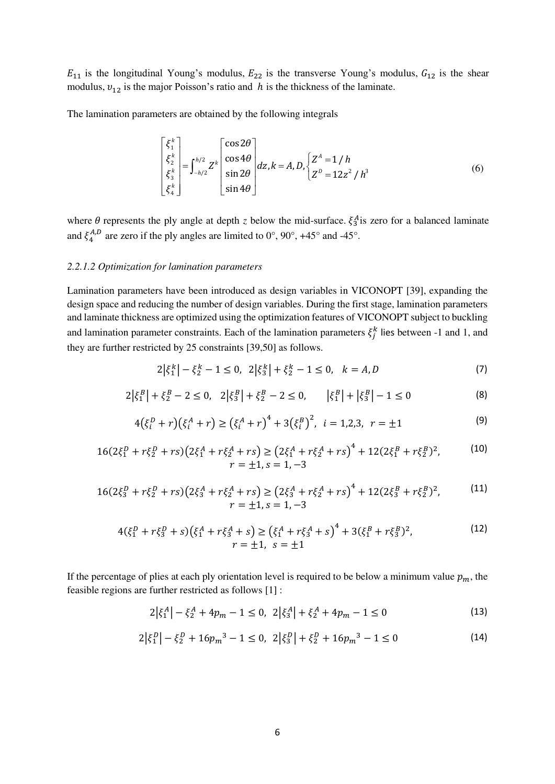$E_{11}$  is the longitudinal Young's modulus,  $E_{22}$  is the transverse Young's modulus,  $G_{12}$  is the shear modulus,  $v_{12}$  is the major Poisson's ratio and *h* is the thickness of the laminate.

The lamination parameters are obtained by the following integrals

$$
\begin{bmatrix} \xi_1^k \\ \xi_2^k \\ \xi_3^k \\ \xi_4^k \end{bmatrix} = \int_{-h/2}^{h/2} Z^k \begin{bmatrix} \cos 2\theta \\ \cos 4\theta \\ \sin 2\theta \\ \sin 4\theta \end{bmatrix} dz, k = A, D, \begin{cases} Z^A = 1/h \\ Z^D = 12z^2/h^3 \end{cases}
$$
(6)

where  $\theta$  represents the ply angle at depth *z* below the mid-surface.  $\xi_3^A$  is zero for a balanced laminate and  $\xi_4^{A,D}$  are zero if the ply angles are limited to  $0^\circ$ ,  $90^\circ$ ,  $+45^\circ$  and  $-45^\circ$ .

# *2.2.1.2 Optimization for lamination parameters*

Lamination parameters have been introduced as design variables in VICONOPT [39], expanding the design space and reducing the number of design variables. During the first stage, lamination parameters and laminate thickness are optimized using the optimization features of VICONOPT subject to buckling and lamination parameter constraints. Each of the lamination parameters  $\xi_j^k$  lies between -1 and 1, and they are further restricted by 25 constraints [39,50] as follows.

$$
2\left|\xi_1^k\right| - \xi_2^k - 1 \le 0, \ \ 2\left|\xi_3^k\right| + \xi_2^k - 1 \le 0, \ \ k = A, D \tag{7}
$$

$$
2\left|\xi_1^B\right| + \xi_2^B - 2 \le 0, \quad 2\left|\xi_3^B\right| + \xi_2^B - 2 \le 0, \qquad \left|\xi_1^B\right| + \left|\xi_3^B\right| - 1 \le 0 \tag{8}
$$

$$
4(\xi_i^D + r)(\xi_i^A + r) \ge (\xi_i^A + r)^4 + 3(\xi_i^B)^2, \ i = 1, 2, 3, \ r = \pm 1
$$
\n(9)

$$
16(2\xi_1^D + r\xi_2^D + rs)\left(2\xi_1^A + r\xi_2^A + rs\right) \ge \left(2\xi_1^A + r\xi_2^A + rs\right)^4 + 12(2\xi_1^B + r\xi_2^B)^2, \tag{10}
$$
\n
$$
r = \pm 1, s = 1, -3
$$

$$
16(2\xi_3^D + r\xi_2^D + rs)(2\xi_3^A + r\xi_2^A + rs) \ge (2\xi_3^A + r\xi_2^A + rs)^4 + 12(2\xi_3^B + r\xi_2^B)^2,
$$
\n
$$
r = \pm 1, s = 1, -3
$$
\n(11)

$$
4(\xi_1^D + r\xi_3^D + s)(\xi_1^A + r\xi_3^A + s) \ge (\xi_1^A + r\xi_3^A + s)^4 + 3(\xi_1^B + r\xi_3^B)^2,
$$
  
\n
$$
r = \pm 1, \quad s = \pm 1
$$
\n(12)

If the percentage of plies at each ply orientation level is required to be below a minimum value  $p_m$ , the feasible regions are further restricted as follows [1] :

$$
2|\xi_1^A| - \xi_2^A + 4p_m - 1 \le 0, \ 2|\xi_3^A| + \xi_2^A + 4p_m - 1 \le 0 \tag{13}
$$

$$
2\left|\xi_1^D\right| - \xi_2^D + 16p_m^3 - 1 \le 0, \ \ 2\left|\xi_3^D\right| + \xi_2^D + 16p_m^3 - 1 \le 0 \tag{14}
$$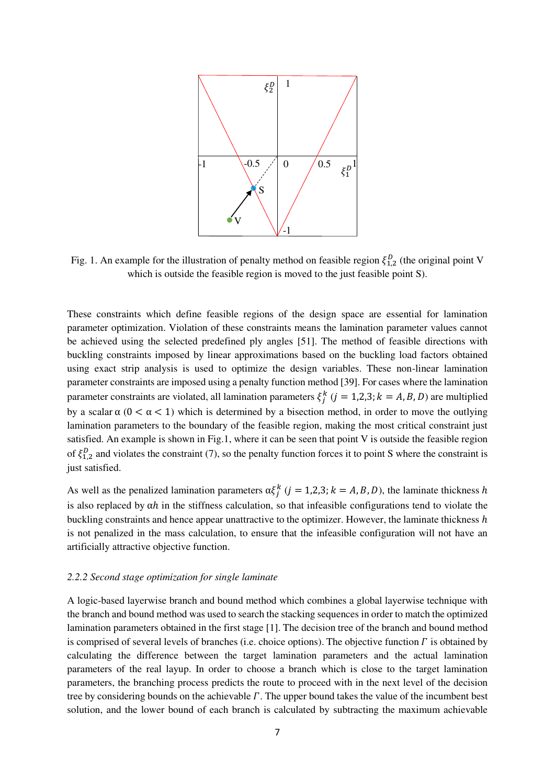

Fig. 1. An example for the illustration of penalty method on feasible region  $\xi_{1,2}^D$  (the original point V which is outside the feasible region is moved to the just feasible point S).

These constraints which define feasible regions of the design space are essential for lamination parameter optimization. Violation of these constraints means the lamination parameter values cannot be achieved using the selected predefined ply angles [51]. The method of feasible directions with buckling constraints imposed by linear approximations based on the buckling load factors obtained using exact strip analysis is used to optimize the design variables. These non-linear lamination parameter constraints are imposed using a penalty function method [39]. For cases where the lamination parameter constraints are violated, all lamination parameters  $\xi_j^k$  ( $j = 1,2,3; k = A, B, D$ ) are multiplied by a scalar  $\alpha$  ( $0 < \alpha < 1$ ) which is determined by a bisection method, in order to move the outlying lamination parameters to the boundary of the feasible region, making the most critical constraint just satisfied. An example is shown in Fig.1, where it can be seen that point V is outside the feasible region of  $\xi_{1,2}^D$  and violates the constraint (7), so the penalty function forces it to point S where the constraint is just satisfied.

As well as the penalized lamination parameters  $\alpha \xi_j^k$  ( $j = 1,2,3; k = A, B, D$ ), the laminate thickness h is also replaced by  $\alpha h$  in the stiffness calculation, so that infeasible configurations tend to violate the buckling constraints and hence appear unattractive to the optimizer. However, the laminate thickness h is not penalized in the mass calculation, to ensure that the infeasible configuration will not have an artificially attractive objective function.

#### *2.2.2 Second stage optimization for single laminate*

A logic-based layerwise branch and bound method which combines a global layerwise technique with the branch and bound method was used to search the stacking sequences in order to match the optimized lamination parameters obtained in the first stage [1]. The decision tree of the branch and bound method is comprised of several levels of branches (i.e. choice options). The objective function  $\Gamma$  is obtained by calculating the difference between the target lamination parameters and the actual lamination parameters of the real layup. In order to choose a branch which is close to the target lamination parameters, the branching process predicts the route to proceed with in the next level of the decision tree by considering bounds on the achievable  $\Gamma$ . The upper bound takes the value of the incumbent best solution, and the lower bound of each branch is calculated by subtracting the maximum achievable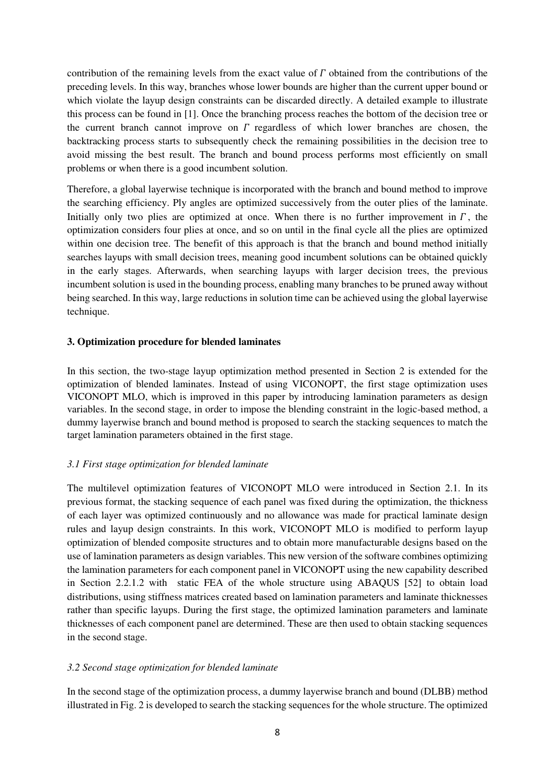contribution of the remaining levels from the exact value of  $\Gamma$  obtained from the contributions of the preceding levels. In this way, branches whose lower bounds are higher than the current upper bound or which violate the layup design constraints can be discarded directly. A detailed example to illustrate this process can be found in [1]. Once the branching process reaches the bottom of the decision tree or the current branch cannot improve on  $\Gamma$  regardless of which lower branches are chosen, the backtracking process starts to subsequently check the remaining possibilities in the decision tree to avoid missing the best result. The branch and bound process performs most efficiently on small problems or when there is a good incumbent solution.

Therefore, a global layerwise technique is incorporated with the branch and bound method to improve the searching efficiency. Ply angles are optimized successively from the outer plies of the laminate. Initially only two plies are optimized at once. When there is no further improvement in  $\Gamma$ , the optimization considers four plies at once, and so on until in the final cycle all the plies are optimized within one decision tree. The benefit of this approach is that the branch and bound method initially searches layups with small decision trees, meaning good incumbent solutions can be obtained quickly in the early stages. Afterwards, when searching layups with larger decision trees, the previous incumbent solution is used in the bounding process, enabling many branches to be pruned away without being searched. In this way, large reductions in solution time can be achieved using the global layerwise technique.

# **3. Optimization procedure for blended laminates**

In this section, the two-stage layup optimization method presented in Section 2 is extended for the optimization of blended laminates. Instead of using VICONOPT, the first stage optimization uses VICONOPT MLO, which is improved in this paper by introducing lamination parameters as design variables. In the second stage, in order to impose the blending constraint in the logic-based method, a dummy layerwise branch and bound method is proposed to search the stacking sequences to match the target lamination parameters obtained in the first stage.

#### *3.1 First stage optimization for blended laminate*

The multilevel optimization features of VICONOPT MLO were introduced in Section 2.1. In its previous format, the stacking sequence of each panel was fixed during the optimization, the thickness of each layer was optimized continuously and no allowance was made for practical laminate design rules and layup design constraints. In this work, VICONOPT MLO is modified to perform layup optimization of blended composite structures and to obtain more manufacturable designs based on the use of lamination parameters as design variables. This new version of the software combines optimizing the lamination parameters for each component panel in VICONOPT using the new capability described in Section 2.2.1.2 with static FEA of the whole structure using ABAQUS [52] to obtain load distributions, using stiffness matrices created based on lamination parameters and laminate thicknesses rather than specific layups. During the first stage, the optimized lamination parameters and laminate thicknesses of each component panel are determined. These are then used to obtain stacking sequences in the second stage.

#### *3.2 Second stage optimization for blended laminate*

In the second stage of the optimization process, a dummy layerwise branch and bound (DLBB) method illustrated in Fig. 2 is developed to search the stacking sequences for the whole structure. The optimized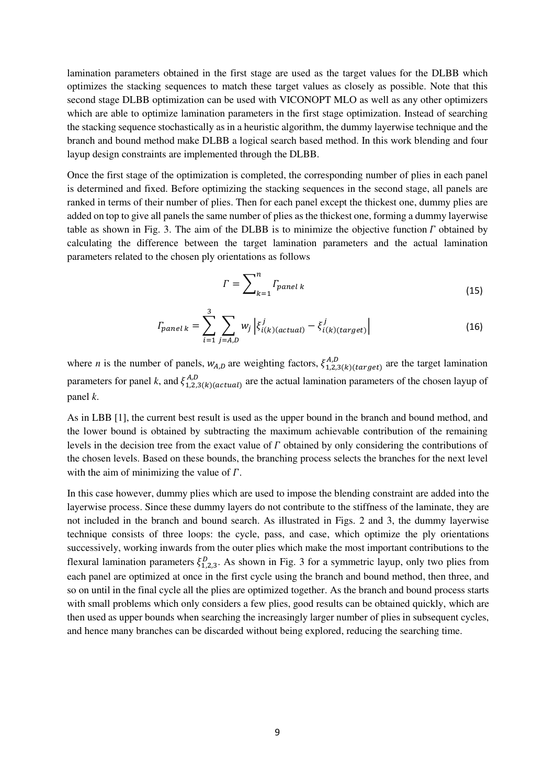lamination parameters obtained in the first stage are used as the target values for the DLBB which optimizes the stacking sequences to match these target values as closely as possible. Note that this second stage DLBB optimization can be used with VICONOPT MLO as well as any other optimizers which are able to optimize lamination parameters in the first stage optimization. Instead of searching the stacking sequence stochastically as in a heuristic algorithm, the dummy layerwise technique and the branch and bound method make DLBB a logical search based method. In this work blending and four layup design constraints are implemented through the DLBB.

Once the first stage of the optimization is completed, the corresponding number of plies in each panel is determined and fixed. Before optimizing the stacking sequences in the second stage, all panels are ranked in terms of their number of plies. Then for each panel except the thickest one, dummy plies are added on top to give all panels the same number of plies as the thickest one, forming a dummy layerwise table as shown in Fig. 3. The aim of the DLBB is to minimize the objective function  $\Gamma$  obtained by calculating the difference between the target lamination parameters and the actual lamination parameters related to the chosen ply orientations as follows

$$
\Gamma = \sum_{k=1}^{n} \Gamma_{panel\ k} \tag{15}
$$

$$
T_{panel\ k} = \sum_{i=1}^{3} \sum_{j=A,D} w_j \left| \xi_{i(k)(actual)}^j - \xi_{i(k)(target)}^j \right| \tag{16}
$$

where *n* is the number of panels,  $W_{A,D}$  are weighting factors,  $\xi_{1,2,3}(k)(\text{target})$  are the target lamination parameters for panel k, and  $\xi_{1,2,3(k)(actual)}^{A,D}$  are the actual lamination parameters of the chosen layup of panel *k*.

As in LBB [1], the current best result is used as the upper bound in the branch and bound method, and the lower bound is obtained by subtracting the maximum achievable contribution of the remaining levels in the decision tree from the exact value of  $\Gamma$  obtained by only considering the contributions of the chosen levels. Based on these bounds, the branching process selects the branches for the next level with the aim of minimizing the value of  $\Gamma$ .

In this case however, dummy plies which are used to impose the blending constraint are added into the layerwise process. Since these dummy layers do not contribute to the stiffness of the laminate, they are not included in the branch and bound search. As illustrated in Figs. 2 and 3, the dummy layerwise technique consists of three loops: the cycle, pass, and case, which optimize the ply orientations successively, working inwards from the outer plies which make the most important contributions to the flexural lamination parameters  $\xi_{1,2,3}^D$ . As shown in Fig. 3 for a symmetric layup, only two plies from each panel are optimized at once in the first cycle using the branch and bound method, then three, and so on until in the final cycle all the plies are optimized together. As the branch and bound process starts with small problems which only considers a few plies, good results can be obtained quickly, which are then used as upper bounds when searching the increasingly larger number of plies in subsequent cycles, and hence many branches can be discarded without being explored, reducing the searching time.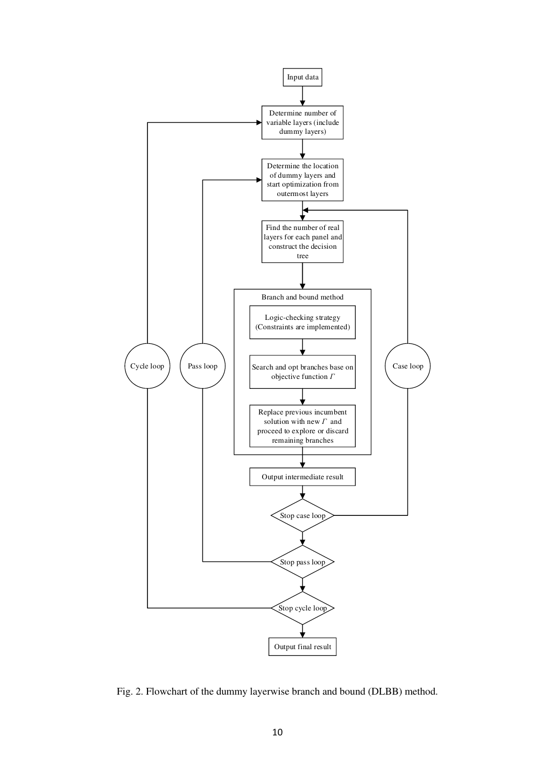

Fig. 2. Flowchart of the dummy layerwise branch and bound (DLBB) method.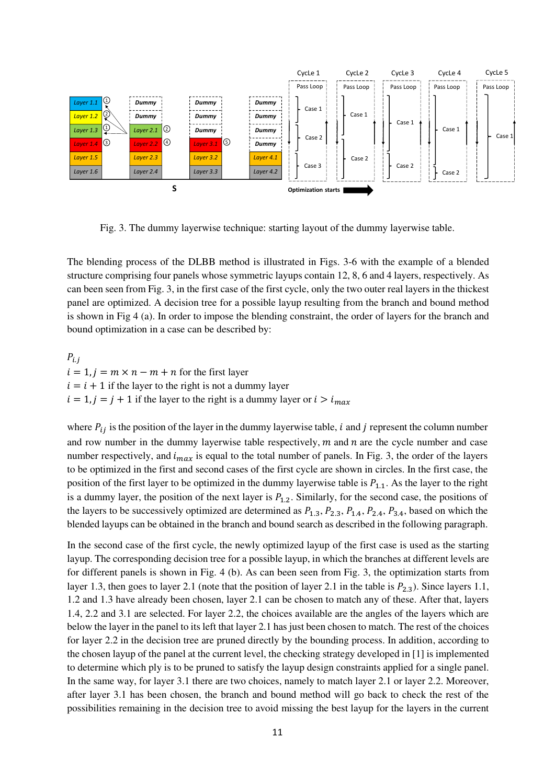

Fig. 3. The dummy layerwise technique: starting layout of the dummy layerwise table.

The blending process of the DLBB method is illustrated in Figs. 3-6 with the example of a blended structure comprising four panels whose symmetric layups contain 12, 8, 6 and 4 layers, respectively. As can been seen from Fig. 3, in the first case of the first cycle, only the two outer real layers in the thickest panel are optimized. A decision tree for a possible layup resulting from the branch and bound method is shown in Fig 4 (a). In order to impose the blending constraint, the order of layers for the branch and bound optimization in a case can be described by:

 $P_{i,j}$  $i = 1, j = m \times n - m + n$  for the first layer  $i = i + 1$  if the layer to the right is not a dummy layer  $i = 1, j = j + 1$  if the layer to the right is a dummy layer or  $i > i_{max}$ 

where  $P_{ij}$  is the position of the layer in the dummy layerwise table, *i* and *j* represent the column number and row number in the dummy layerwise table respectively,  $m$  and  $n$  are the cycle number and case number respectively, and  $i_{max}$  is equal to the total number of panels. In Fig. 3, the order of the layers to be optimized in the first and second cases of the first cycle are shown in circles. In the first case, the position of the first layer to be optimized in the dummy layerwise table is  $P_{1,1}$ . As the layer to the right is a dummy layer, the position of the next layer is  $P_{1,2}$ . Similarly, for the second case, the positions of the layers to be successively optimized are determined as  $P_{1,3}$ ,  $P_{2,3}$ ,  $P_{1,4}$ ,  $P_{2,4}$ ,  $P_{3,4}$ , based on which the blended layups can be obtained in the branch and bound search as described in the following paragraph.

In the second case of the first cycle, the newly optimized layup of the first case is used as the starting layup. The corresponding decision tree for a possible layup, in which the branches at different levels are for different panels is shown in Fig. 4 (b). As can been seen from Fig. 3, the optimization starts from layer 1.3, then goes to layer 2.1 (note that the position of layer 2.1 in the table is  $P_{2,3}$ ). Since layers 1.1, 1.2 and 1.3 have already been chosen, layer 2.1 can be chosen to match any of these. After that, layers 1.4, 2.2 and 3.1 are selected. For layer 2.2, the choices available are the angles of the layers which are below the layer in the panel to its left that layer 2.1 has just been chosen to match. The rest of the choices for layer 2.2 in the decision tree are pruned directly by the bounding process. In addition, according to the chosen layup of the panel at the current level, the checking strategy developed in [1] is implemented to determine which ply is to be pruned to satisfy the layup design constraints applied for a single panel. In the same way, for layer 3.1 there are two choices, namely to match layer 2.1 or layer 2.2. Moreover, after layer 3.1 has been chosen, the branch and bound method will go back to check the rest of the possibilities remaining in the decision tree to avoid missing the best layup for the layers in the current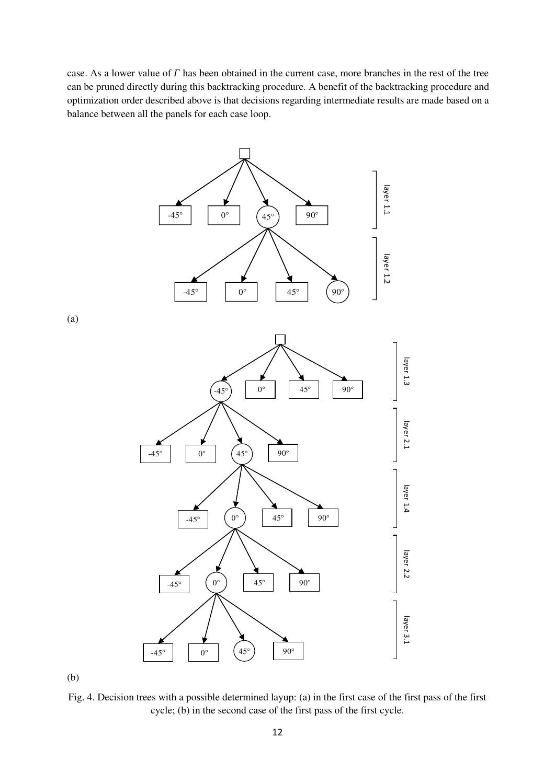case. As a lower value of  $\Gamma$  has been obtained in the current case, more branches in the rest of the tree can be pruned directly during this backtracking procedure. A benefit of the backtracking procedure and optimization order described above is that decisions regarding intermediate results are made based on a balance between all the panels for each case loop.



(b)

Fig. 4. Decision trees with a possible determined layup: (a) in the first case of the first pass of the first cycle; (b) in the second case of the first pass of the first cycle.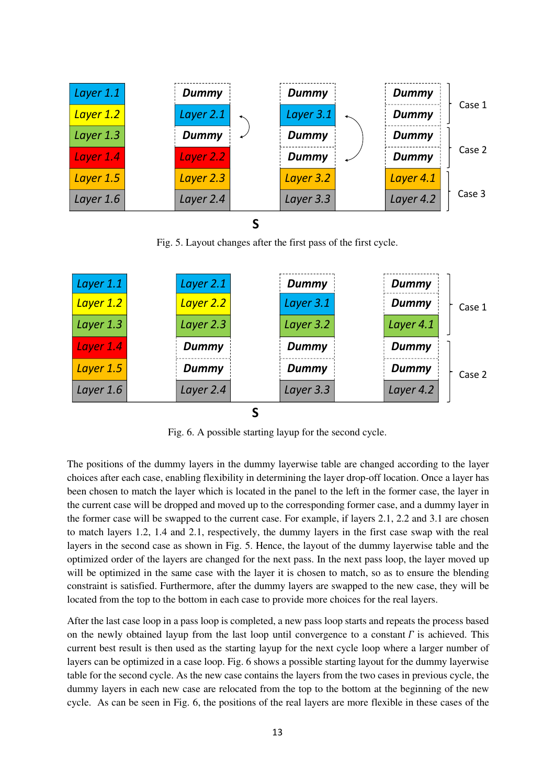| Layer 1.1 | <b>Dummy</b> | <b>Dummy</b> | <b>Dummy</b> |        |
|-----------|--------------|--------------|--------------|--------|
| Layer 1.2 | Layer 2.1    | Layer 3.1    | <b>Dummy</b> | Case 1 |
| Layer 1.3 | <b>Dummy</b> | Dummy        | Dummy        |        |
| Layer 1.4 | Layer 2.2    | Dummy        | <b>Dummy</b> | Case 2 |
| Layer 1.5 | Layer 2.3    | Layer 3.2    | Layer 4.1    |        |
| Layer 1.6 | Layer 2.4    | Layer 3.3    | Layer 4.2    | Case 3 |
|           |              |              |              |        |

Fig. 5. Layout changes after the first pass of the first cycle.



Fig. 6. A possible starting layup for the second cycle.

The positions of the dummy layers in the dummy layerwise table are changed according to the layer choices after each case, enabling flexibility in determining the layer drop-off location. Once a layer has been chosen to match the layer which is located in the panel to the left in the former case, the layer in the current case will be dropped and moved up to the corresponding former case, and a dummy layer in the former case will be swapped to the current case. For example, if layers 2.1, 2.2 and 3.1 are chosen to match layers 1.2, 1.4 and 2.1, respectively, the dummy layers in the first case swap with the real layers in the second case as shown in Fig. 5. Hence, the layout of the dummy layerwise table and the optimized order of the layers are changed for the next pass. In the next pass loop, the layer moved up will be optimized in the same case with the layer it is chosen to match, so as to ensure the blending constraint is satisfied. Furthermore, after the dummy layers are swapped to the new case, they will be located from the top to the bottom in each case to provide more choices for the real layers.

After the last case loop in a pass loop is completed, a new pass loop starts and repeats the process based on the newly obtained layup from the last loop until convergence to a constant  $\Gamma$  is achieved. This current best result is then used as the starting layup for the next cycle loop where a larger number of layers can be optimized in a case loop. Fig. 6 shows a possible starting layout for the dummy layerwise table for the second cycle. As the new case contains the layers from the two cases in previous cycle, the dummy layers in each new case are relocated from the top to the bottom at the beginning of the new cycle. As can be seen in Fig. 6, the positions of the real layers are more flexible in these cases of the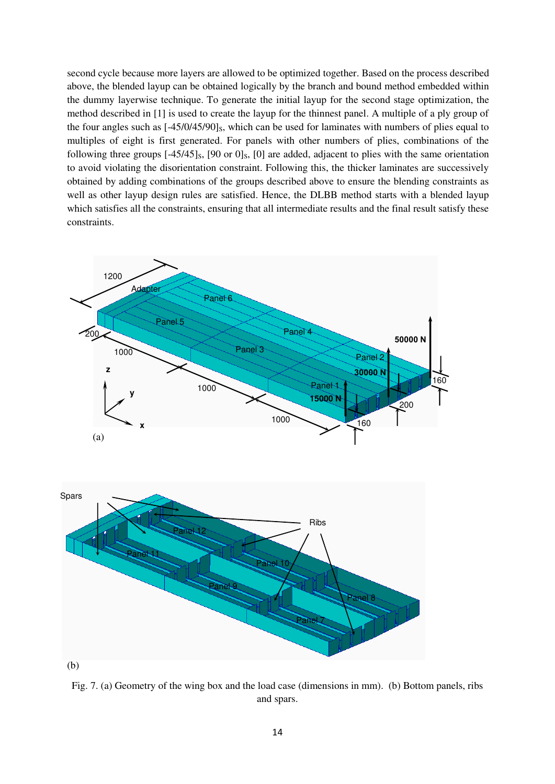second cycle because more layers are allowed to be optimized together. Based on the process described above, the blended layup can be obtained logically by the branch and bound method embedded within the dummy layerwise technique. To generate the initial layup for the second stage optimization, the method described in [1] is used to create the layup for the thinnest panel. A multiple of a ply group of the four angles such as  $[-45/0/45/90]_S$ , which can be used for laminates with numbers of plies equal to multiples of eight is first generated. For panels with other numbers of plies, combinations of the following three groups  $[-45/45]$ <sub>S</sub>,  $[90 \text{ or } 0]$ <sub>S</sub>,  $[0]$  are added, adjacent to plies with the same orientation to avoid violating the disorientation constraint. Following this, the thicker laminates are successively obtained by adding combinations of the groups described above to ensure the blending constraints as well as other layup design rules are satisfied. Hence, the DLBB method starts with a blended layup which satisfies all the constraints, ensuring that all intermediate results and the final result satisfy these constraints.



Fig. 7. (a) Geometry of the wing box and the load case (dimensions in mm). (b) Bottom panels, ribs and spars.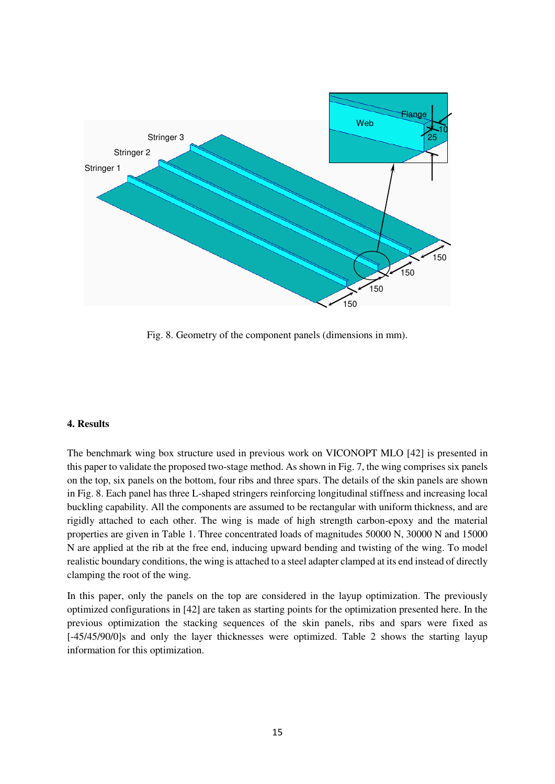

Fig. 8. Geometry of the component panels (dimensions in mm).

# **4. Results**

The benchmark wing box structure used in previous work on VICONOPT MLO [42] is presented in this paper to validate the proposed two-stage method. As shown in Fig. 7, the wing comprises six panels on the top, six panels on the bottom, four ribs and three spars. The details of the skin panels are shown in Fig. 8. Each panel has three L-shaped stringers reinforcing longitudinal stiffness and increasing local buckling capability. All the components are assumed to be rectangular with uniform thickness, and are rigidly attached to each other. The wing is made of high strength carbon-epoxy and the material properties are given in Table 1. Three concentrated loads of magnitudes 50000 N, 30000 N and 15000 N are applied at the rib at the free end, inducing upward bending and twisting of the wing. To model realistic boundary conditions, the wing is attached to a steel adapter clamped at its end instead of directly clamping the root of the wing.

In this paper, only the panels on the top are considered in the layup optimization. The previously optimized configurations in [42] are taken as starting points for the optimization presented here. In the previous optimization the stacking sequences of the skin panels, ribs and spars were fixed as [-45/45/90/0]s and only the layer thicknesses were optimized. Table 2 shows the starting layup information for this optimization.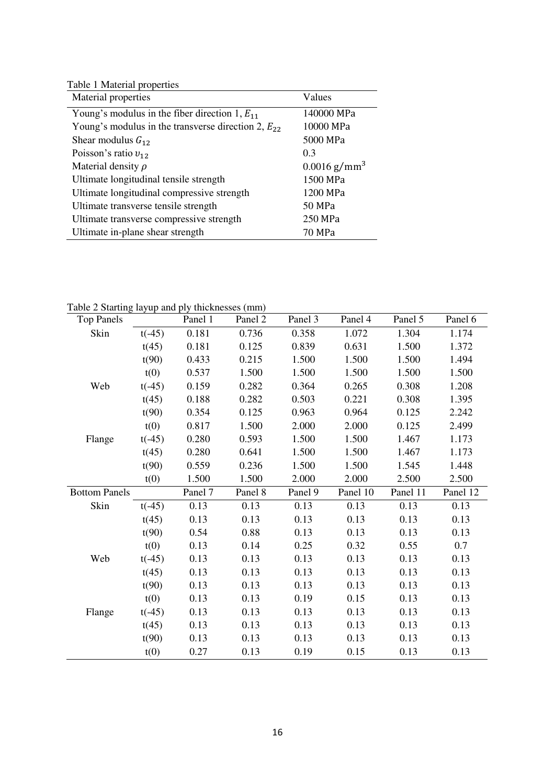Table 1 Material properties

| Material properties                                     | Values                     |
|---------------------------------------------------------|----------------------------|
| Young's modulus in the fiber direction 1, $E_{11}$      | 140000 MPa                 |
| Young's modulus in the transverse direction 2, $E_{22}$ | 10000 MPa                  |
| Shear modulus $G_{12}$                                  | 5000 MPa                   |
| Poisson's ratio $v_{12}$                                | 0.3                        |
| Material density $\rho$                                 | $0.0016$ g/mm <sup>3</sup> |
| Ultimate longitudinal tensile strength                  | 1500 MPa                   |
| Ultimate longitudinal compressive strength              | 1200 MPa                   |
| Ultimate transverse tensile strength                    | 50 MPa                     |
| Ultimate transverse compressive strength                | 250 MPa                    |
| Ultimate in-plane shear strength                        | 70 MPa                     |

| $\frac{1}{2}$ but the $\frac{1}{2}$ to $\frac{1}{2}$ and $\frac{1}{2}$ the Knesses (11111)<br><b>Top Panels</b> |          | Panel 1 | Panel 2 | Panel 3 | Panel 4  | Panel 5  | Panel 6  |
|-----------------------------------------------------------------------------------------------------------------|----------|---------|---------|---------|----------|----------|----------|
| Skin                                                                                                            | $t(-45)$ | 0.181   | 0.736   | 0.358   | 1.072    | 1.304    | 1.174    |
|                                                                                                                 | t(45)    | 0.181   | 0.125   | 0.839   | 0.631    | 1.500    | 1.372    |
|                                                                                                                 | t(90)    | 0.433   | 0.215   | 1.500   | 1.500    | 1.500    | 1.494    |
|                                                                                                                 | t(0)     | 0.537   | 1.500   | 1.500   | 1.500    | 1.500    | 1.500    |
| Web                                                                                                             | $t(-45)$ | 0.159   | 0.282   | 0.364   | 0.265    | 0.308    | 1.208    |
|                                                                                                                 | t(45)    | 0.188   | 0.282   | 0.503   | 0.221    | 0.308    | 1.395    |
|                                                                                                                 | t(90)    | 0.354   | 0.125   | 0.963   | 0.964    | 0.125    | 2.242    |
|                                                                                                                 | t(0)     | 0.817   | 1.500   | 2.000   | 2.000    | 0.125    | 2.499    |
| Flange                                                                                                          | $t(-45)$ | 0.280   | 0.593   | 1.500   | 1.500    | 1.467    | 1.173    |
|                                                                                                                 | t(45)    | 0.280   | 0.641   | 1.500   | 1.500    | 1.467    | 1.173    |
|                                                                                                                 | t(90)    | 0.559   | 0.236   | 1.500   | 1.500    | 1.545    | 1.448    |
|                                                                                                                 | t(0)     | 1.500   | 1.500   | 2.000   | 2.000    | 2.500    | 2.500    |
| <b>Bottom Panels</b>                                                                                            |          | Panel 7 | Panel 8 | Panel 9 | Panel 10 | Panel 11 | Panel 12 |
| Skin                                                                                                            | $t(-45)$ | 0.13    | 0.13    | 0.13    | 0.13     | 0.13     | 0.13     |
|                                                                                                                 | t(45)    | 0.13    | 0.13    | 0.13    | 0.13     | 0.13     | 0.13     |
|                                                                                                                 | t(90)    | 0.54    | 0.88    | 0.13    | 0.13     | 0.13     | 0.13     |
|                                                                                                                 | t(0)     | 0.13    | 0.14    | 0.25    | 0.32     | 0.55     | 0.7      |
| Web                                                                                                             | $t(-45)$ | 0.13    | 0.13    | 0.13    | 0.13     | 0.13     | 0.13     |
|                                                                                                                 | t(45)    | 0.13    | 0.13    | 0.13    | 0.13     | 0.13     | 0.13     |
|                                                                                                                 | t(90)    | 0.13    | 0.13    | 0.13    | 0.13     | 0.13     | 0.13     |
|                                                                                                                 | t(0)     | 0.13    | 0.13    | 0.19    | 0.15     | 0.13     | 0.13     |
| Flange                                                                                                          | $t(-45)$ | 0.13    | 0.13    | 0.13    | 0.13     | 0.13     | 0.13     |
|                                                                                                                 | t(45)    | 0.13    | 0.13    | 0.13    | 0.13     | 0.13     | 0.13     |
|                                                                                                                 |          | 0.13    | 0.13    | 0.13    | 0.13     | 0.13     | 0.13     |
|                                                                                                                 | t(90)    |         |         |         |          |          |          |

Table 2 Starting layup and ply thicknesses (mm)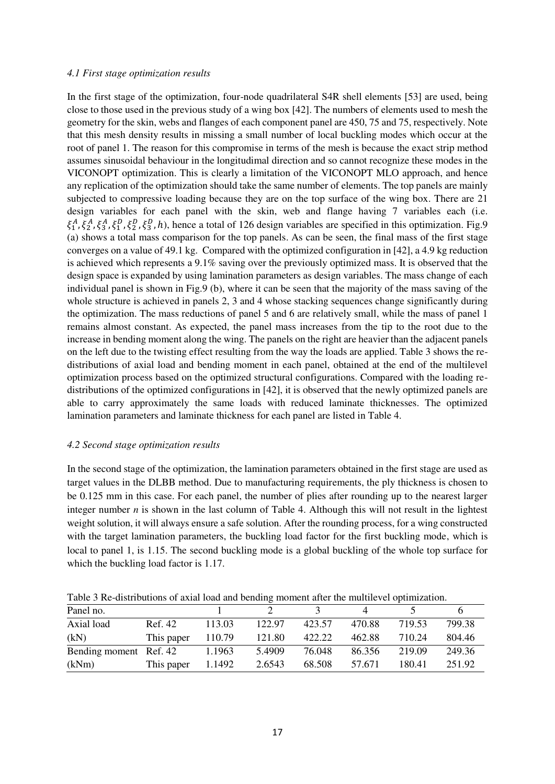#### *4.1 First stage optimization results*

In the first stage of the optimization, four-node quadrilateral S4R shell elements [53] are used, being close to those used in the previous study of a wing box [42]. The numbers of elements used to mesh the geometry for the skin, webs and flanges of each component panel are 450, 75 and 75, respectively. Note that this mesh density results in missing a small number of local buckling modes which occur at the root of panel 1. The reason for this compromise in terms of the mesh is because the exact strip method assumes sinusoidal behaviour in the longitudimal direction and so cannot recognize these modes in the VICONOPT optimization. This is clearly a limitation of the VICONOPT MLO approach, and hence any replication of the optimization should take the same number of elements. The top panels are mainly subjected to compressive loading because they are on the top surface of the wing box. There are 21 design variables for each panel with the skin, web and flange having 7 variables each (i.e.  $\xi_1^A$ ,  $\xi_2^A$ ,  $\xi_3^B$ ,  $\xi_1^B$ ,  $\xi_2^B$ ,  $\xi_3^B$ , h), hence a total of 126 design variables are specified in this optimization. Fig.9 (a) shows a total mass comparison for the top panels. As can be seen, the final mass of the first stage converges on a value of 49.1 kg. Compared with the optimized configuration in [42], a 4.9 kg reduction is achieved which represents a 9.1% saving over the previously optimized mass. It is observed that the design space is expanded by using lamination parameters as design variables. The mass change of each individual panel is shown in Fig.9 (b), where it can be seen that the majority of the mass saving of the whole structure is achieved in panels 2, 3 and 4 whose stacking sequences change significantly during the optimization. The mass reductions of panel 5 and 6 are relatively small, while the mass of panel 1 remains almost constant. As expected, the panel mass increases from the tip to the root due to the increase in bending moment along the wing. The panels on the right are heavier than the adjacent panels on the left due to the twisting effect resulting from the way the loads are applied. Table 3 shows the redistributions of axial load and bending moment in each panel, obtained at the end of the multilevel optimization process based on the optimized structural configurations. Compared with the loading redistributions of the optimized configurations in [42], it is observed that the newly optimized panels are able to carry approximately the same loads with reduced laminate thicknesses. The optimized lamination parameters and laminate thickness for each panel are listed in Table 4.

# *4.2 Second stage optimization results*

In the second stage of the optimization, the lamination parameters obtained in the first stage are used as target values in the DLBB method. Due to manufacturing requirements, the ply thickness is chosen to be 0.125 mm in this case. For each panel, the number of plies after rounding up to the nearest larger integer number  $n$  is shown in the last column of Table 4. Although this will not result in the lightest weight solution, it will always ensure a safe solution. After the rounding process, for a wing constructed with the target lamination parameters, the buckling load factor for the first buckling mode, which is local to panel 1, is 1.15. The second buckling mode is a global buckling of the whole top surface for which the buckling load factor is 1.17.

Table 3 Re-distributions of axial load and bending moment after the multilevel optimization.

| Panel no.              |            |        |        |        |        |        |        |
|------------------------|------------|--------|--------|--------|--------|--------|--------|
| Axial load             | Ref. 42    | 113.03 | 122.97 | 423.57 | 470.88 | 719.53 | 799.38 |
| (kN)                   | This paper | 110.79 | 121.80 | 422.22 | 462.88 | 710.24 | 804.46 |
| Bending moment Ref. 42 |            | 1.1963 | 5.4909 | 76.048 | 86.356 | 219.09 | 249.36 |
| (kNm)                  | This paper | 1.1492 | 2.6543 | 68.508 | 57.671 | 180.41 | 251.92 |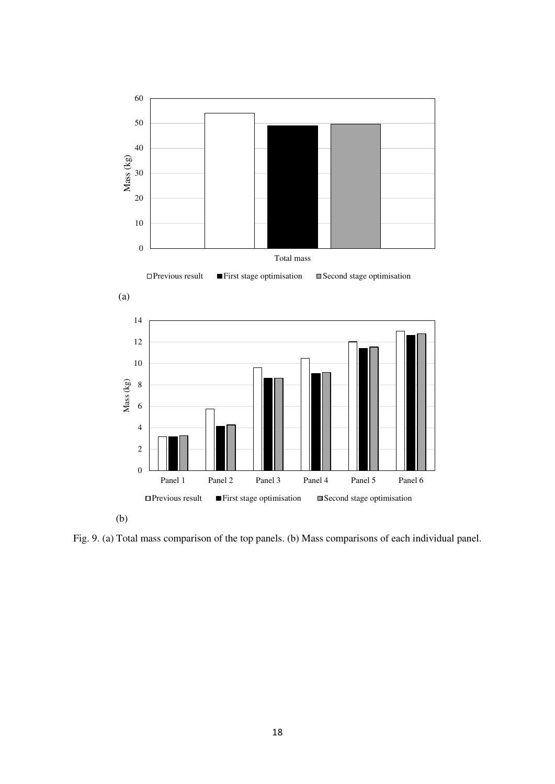

Fig. 9. (a) Total mass comparison of the top panels. (b) Mass comparisons of each individual panel.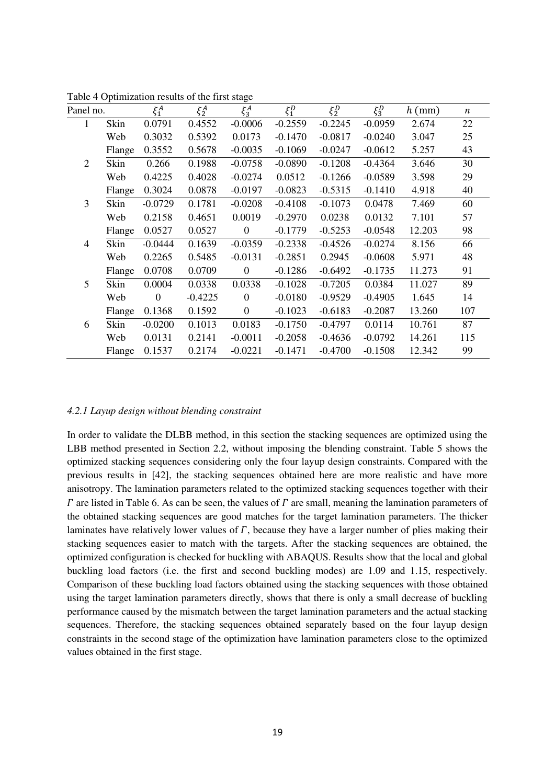|                |        |                |           | $\circ$          |           |           |           |          |                  |
|----------------|--------|----------------|-----------|------------------|-----------|-----------|-----------|----------|------------------|
| Panel no.      |        | $\xi_1^A$      | $\xi_2^A$ | $\xi_3^A$        | $\xi_1^D$ | $\xi_2^D$ | $\xi_3^D$ | $h$ (mm) | $\boldsymbol{n}$ |
| 1              | Skin   | 0.0791         | 0.4552    | $-0.0006$        | $-0.2559$ | $-0.2245$ | $-0.0959$ | 2.674    | 22               |
|                | Web    | 0.3032         | 0.5392    | 0.0173           | $-0.1470$ | $-0.0817$ | $-0.0240$ | 3.047    | 25               |
|                | Flange | 0.3552         | 0.5678    | $-0.0035$        | $-0.1069$ | $-0.0247$ | $-0.0612$ | 5.257    | 43               |
| $\overline{2}$ | Skin   | 0.266          | 0.1988    | $-0.0758$        | $-0.0890$ | $-0.1208$ | $-0.4364$ | 3.646    | 30               |
|                | Web    | 0.4225         | 0.4028    | $-0.0274$        | 0.0512    | $-0.1266$ | $-0.0589$ | 3.598    | 29               |
|                | Flange | 0.3024         | 0.0878    | $-0.0197$        | $-0.0823$ | $-0.5315$ | $-0.1410$ | 4.918    | 40               |
| 3              | Skin   | $-0.0729$      | 0.1781    | $-0.0208$        | $-0.4108$ | $-0.1073$ | 0.0478    | 7.469    | 60               |
|                | Web    | 0.2158         | 0.4651    | 0.0019           | $-0.2970$ | 0.0238    | 0.0132    | 7.101    | 57               |
|                | Flange | 0.0527         | 0.0527    | $\boldsymbol{0}$ | $-0.1779$ | $-0.5253$ | $-0.0548$ | 12.203   | 98               |
| 4              | Skin   | $-0.0444$      | 0.1639    | $-0.0359$        | $-0.2338$ | $-0.4526$ | $-0.0274$ | 8.156    | 66               |
|                | Web    | 0.2265         | 0.5485    | $-0.0131$        | $-0.2851$ | 0.2945    | $-0.0608$ | 5.971    | 48               |
|                | Flange | 0.0708         | 0.0709    | $\boldsymbol{0}$ | $-0.1286$ | $-0.6492$ | $-0.1735$ | 11.273   | 91               |
| 5              | Skin   | 0.0004         | 0.0338    | 0.0338           | $-0.1028$ | $-0.7205$ | 0.0384    | 11.027   | 89               |
|                | Web    | $\overline{0}$ | $-0.4225$ | $\boldsymbol{0}$ | $-0.0180$ | $-0.9529$ | $-0.4905$ | 1.645    | 14               |
|                | Flange | 0.1368         | 0.1592    | $\boldsymbol{0}$ | $-0.1023$ | $-0.6183$ | $-0.2087$ | 13.260   | 107              |
| 6              | Skin   | $-0.0200$      | 0.1013    | 0.0183           | $-0.1750$ | $-0.4797$ | 0.0114    | 10.761   | 87               |
|                | Web    | 0.0131         | 0.2141    | $-0.0011$        | $-0.2058$ | $-0.4636$ | $-0.0792$ | 14.261   | 115              |
|                | Flange | 0.1537         | 0.2174    | $-0.0221$        | $-0.1471$ | $-0.4700$ | $-0.1508$ | 12.342   | 99               |
|                |        |                |           |                  |           |           |           |          |                  |

Table 4 Optimization results of the first stage

#### *4.2.1 Layup design without blending constraint*

In order to validate the DLBB method, in this section the stacking sequences are optimized using the LBB method presented in Section 2.2, without imposing the blending constraint. Table 5 shows the optimized stacking sequences considering only the four layup design constraints. Compared with the previous results in [42], the stacking sequences obtained here are more realistic and have more anisotropy. The lamination parameters related to the optimized stacking sequences together with their  $\Gamma$  are listed in Table 6. As can be seen, the values of  $\Gamma$  are small, meaning the lamination parameters of the obtained stacking sequences are good matches for the target lamination parameters. The thicker laminates have relatively lower values of  $\Gamma$ , because they have a larger number of plies making their stacking sequences easier to match with the targets. After the stacking sequences are obtained, the optimized configuration is checked for buckling with ABAQUS. Results show that the local and global buckling load factors (i.e. the first and second buckling modes) are 1.09 and 1.15, respectively. Comparison of these buckling load factors obtained using the stacking sequences with those obtained using the target lamination parameters directly, shows that there is only a small decrease of buckling performance caused by the mismatch between the target lamination parameters and the actual stacking sequences. Therefore, the stacking sequences obtained separately based on the four layup design constraints in the second stage of the optimization have lamination parameters close to the optimized values obtained in the first stage.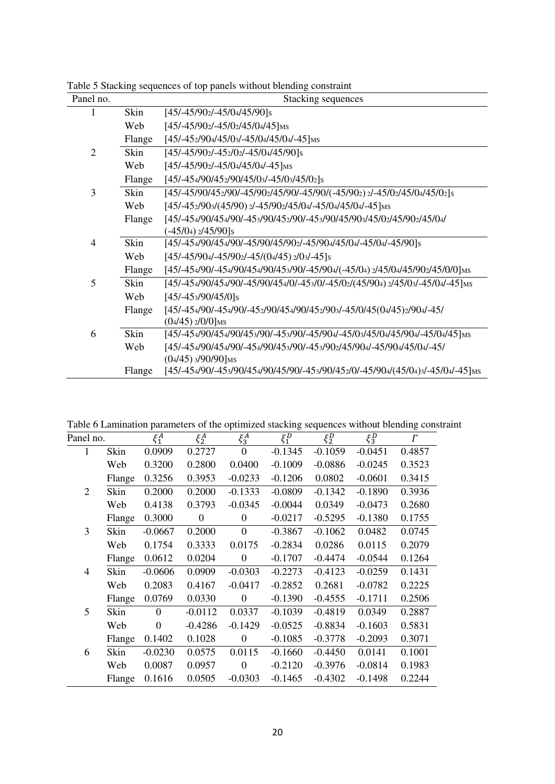| Panel no.      |        | Stacking sequences                                                                                          |
|----------------|--------|-------------------------------------------------------------------------------------------------------------|
|                | Skin   | $[45/45/902/-45/04/45/90]$ s                                                                                |
|                | Web    | $[45/ -45/90$ <sub>2</sub> $-45/0$ <sub>2</sub> $45/0$ <sub>4</sub> $45$ ] <sub>MS</sub>                    |
|                | Flange | $[45/-45_2/90_4/45/0_3/-45/0_4/45/0_4/-45]$ MS                                                              |
| $\overline{2}$ | Skin   | $[45/-45/90$ <sub>2</sub> $-45$ <sub>2</sub> $/0$ <sub>2</sub> $-45/0$ <sub>4</sub> $/45/90$ ] <sub>S</sub> |
|                | Web    | $[45/-45/90$ <sub>2</sub> $-45/0$ <sub>4</sub> $45/0$ <sub>4</sub> $-45$ ] <sub>MS</sub>                    |
|                | Flange | $[45/ - 454/90/452/90/45/03/ - 45/03/45/02]$ s                                                              |
| 3              | Skin   | [45/-45/90/452/90/-45/902/45/90/-45/90/(-45/902) 2/-45/02/45/04/45/02]s                                     |
|                | Web    | $[45/-452/903/(45/90)2/-45/902/45/04/-45/04/45/04/-45]$ MS                                                  |
|                | Flange | [45/-454/90/454/90/-453/90/452/90/-453/90/45/903/45/02/45/902/45/04/                                        |
|                |        | $(-45/0)$ <sub>2</sub> /45/90] <sub>s</sub>                                                                 |
| $\overline{4}$ | Skin   | [45/-454/90/454/90/-45/90/45/902/-45/904/45/04/-45/04/-45/90]s                                              |
|                | Web    | $[45/ -45/904/ -45/902/ -45/(04/45)2/03/ -45]$ s                                                            |
|                | Flange | [45/-454/90/-454/90/454/90/453/90/-45/904/(-45/04) 2/45/04/45/902/45/0/0] MS                                |
| 5              | Skin   | [45/-454/90/454/90/-45/90/454/0/-453/0/-45/02/(45/904) 2/45/03/-45/04/-45] MS                               |
|                | Web    | $[45/ - 453/90/45/0]$ s                                                                                     |
|                | Flange | [45/-454/90/-454/90/-452/90/454/90/452/903/-45/0/45(04/45)2/904/-45/                                        |
|                |        | $(04/45)$ $2/0/0$ ]MS                                                                                       |
| 6              | Skin   | [45/-454/90/454/90/453/90/-453/90/-45/904/-45/03/45/04/45/904/-45/04/45] MS                                 |
|                | Web    | [45/-454/90/454/90/-454/90/453/90/-453/902/45/904/-45/904/45/04/-45/                                        |
|                |        | $(0.4/45)$ 3/90/90] <sub>MS</sub>                                                                           |
|                | Flange | [45/-454/90/-453/90/454/90/45/90/-453/90/452/0/-45/904/(45/04)3/-45/04/-45]MS                               |

Table 5 Stacking sequences of top panels without blending constraint

Table 6 Lamination parameters of the optimized stacking sequences without blending constraint

| Panel no.      |        | $\xi_1^A$ | $\xi_2^A$    | $\xi_3^A$        | $\xi_1^D$ | $\xi_2^D$ | $\xi_3^D$ | $\Gamma$ |
|----------------|--------|-----------|--------------|------------------|-----------|-----------|-----------|----------|
| 1              | Skin   | 0.0909    | 0.2727       | $\Omega$         | $-0.1345$ | $-0.1059$ | $-0.0451$ | 0.4857   |
|                | Web    | 0.3200    | 0.2800       | 0.0400           | $-0.1009$ | $-0.0886$ | $-0.0245$ | 0.3523   |
|                | Flange | 0.3256    | 0.3953       | $-0.0233$        | $-0.1206$ | 0.0802    | $-0.0601$ | 0.3415   |
| $\overline{2}$ | Skin   | 0.2000    | 0.2000       | $-0.1333$        | $-0.0809$ | $-0.1342$ | $-0.1890$ | 0.3936   |
|                | Web    | 0.4138    | 0.3793       | $-0.0345$        | $-0.0044$ | 0.0349    | $-0.0473$ | 0.2680   |
|                | Flange | 0.3000    | $\mathbf{0}$ | $\overline{0}$   | $-0.0217$ | $-0.5295$ | $-0.1380$ | 0.1755   |
| 3              | Skin   | $-0.0667$ | 0.2000       | $\boldsymbol{0}$ | $-0.3867$ | $-0.1062$ | 0.0482    | 0.0745   |
|                | Web    | 0.1754    | 0.3333       | 0.0175           | $-0.2834$ | 0.0286    | 0.0115    | 0.2079   |
|                | Flange | 0.0612    | 0.0204       | $\overline{0}$   | $-0.1707$ | $-0.4474$ | $-0.0544$ | 0.1264   |
| $\overline{4}$ | Skin   | $-0.0606$ | 0.0909       | $-0.0303$        | $-0.2273$ | $-0.4123$ | $-0.0259$ | 0.1431   |
|                | Web    | 0.2083    | 0.4167       | $-0.0417$        | $-0.2852$ | 0.2681    | $-0.0782$ | 0.2225   |
|                | Flange | 0.0769    | 0.0330       | $\boldsymbol{0}$ | $-0.1390$ | $-0.4555$ | $-0.1711$ | 0.2506   |
| 5              | Skin   | $\Omega$  | $-0.0112$    | 0.0337           | $-0.1039$ | $-0.4819$ | 0.0349    | 0.2887   |
|                | Web    | $\Omega$  | $-0.4286$    | $-0.1429$        | $-0.0525$ | $-0.8834$ | $-0.1603$ | 0.5831   |
|                | Flange | 0.1402    | 0.1028       | $\overline{0}$   | $-0.1085$ | $-0.3778$ | $-0.2093$ | 0.3071   |
| 6              | Skin   | $-0.0230$ | 0.0575       | 0.0115           | $-0.1660$ | $-0.4450$ | 0.0141    | 0.1001   |
|                | Web    | 0.0087    | 0.0957       | $\mathbf{0}$     | $-0.2120$ | $-0.3976$ | $-0.0814$ | 0.1983   |
|                | Flange | 0.1616    | 0.0505       | $-0.0303$        | $-0.1465$ | $-0.4302$ | $-0.1498$ | 0.2244   |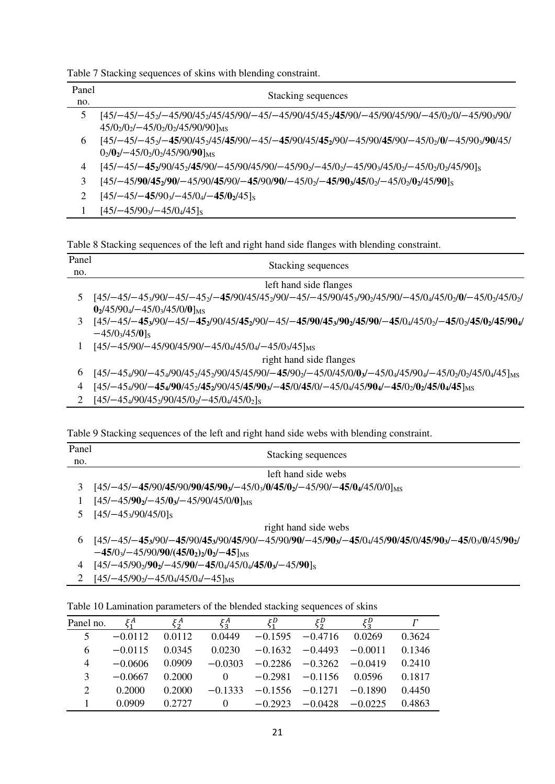|  |  |  | Table 7 Stacking sequences of skins with blending constraint. |
|--|--|--|---------------------------------------------------------------|
|  |  |  |                                                               |

| Panel         | Stacking sequences                                                                              |  |  |  |  |
|---------------|-------------------------------------------------------------------------------------------------|--|--|--|--|
| no.           |                                                                                                 |  |  |  |  |
| $\mathcal{L}$ | [45/-45/-45/-45/90/452/45/90/-45/-45/90/45/45/90/-45/90/45/90/-45/90/45/90/-45/02/0/-45/903/90/ |  |  |  |  |
|               | $45/02/02 - 45/02/02/45/90/90$ Ms                                                               |  |  |  |  |
| 6             | [45/-45/-45/90/452/45/45/90/-45/-45/90/45/452/90/-45/90/45/90/-45/02/0/-45/903/90/45/           |  |  |  |  |
|               | $0_2$ /0 <sub>2</sub> /-45/0 <sub>2</sub> /0 <sub>2</sub> /45/90/90] <sub>MS</sub>              |  |  |  |  |
| 4             | $[45/-45/-45_2/90/45_2/45/90/-45/90/45/90/-45/90_2/45/0_2/45/0_2/45/0_2/45/0_2/45/0_2/45/90]$   |  |  |  |  |
| 3             | $[45/-45/90/45_2/90/-45/90/45/90/-45/90/90/-45/0_2/-45/90_3/45/0_2/-45/0_2/0_2/45/90]$          |  |  |  |  |
| 2             | $[45/-45/-45/903/-45/04/-45/02/45]$                                                             |  |  |  |  |
|               | $[45/-45/903/-45/04/45]$                                                                        |  |  |  |  |

Table 8 Stacking sequences of the left and right hand side flanges with blending constraint.

| Panel          | Stacking sequences                                                                                                                                                                                                                       |
|----------------|------------------------------------------------------------------------------------------------------------------------------------------------------------------------------------------------------------------------------------------|
| no.            |                                                                                                                                                                                                                                          |
|                | left hand side flanges                                                                                                                                                                                                                   |
|                | [45/-45/0 <sub>2</sub> /0/-45/0 <sub>2</sub> /45/0 <sub>2</sub> /07-45/-45/90/45/45 <sub>2</sub> /90/-45/-45/90/45 <sub>3</sub> /90 <sub>2</sub> /45/90/-45/0 <sub>4</sub> /45/0 <sub>2</sub> /0/-45/0 <sub>2</sub> /45/0 <sub>2</sub> / |
|                | $02/45/904/-45/03/45/0/01MS$                                                                                                                                                                                                             |
| 3              | $[45/-45/-45_3/90/-45/-45_2/90/45/45_2/90/-45/-45/90/45_3/90_2/45/90/-45/0_4/45/0_2/-45/0_2/45/90_4/45]$<br>$-45/03/45/03$                                                                                                               |
|                | $[45/-45/90/-45/90/45/90/-45/04/45/04/-45/03/45]$ <sub>MS</sub>                                                                                                                                                                          |
|                | right hand side flanges                                                                                                                                                                                                                  |
| 6              | $[45/-454/90/-454/90/452/452/90/45/45/90/-45/902/-45/0/45/0/03/-45/04/45/904/-45/02/02/45/04/45]$ MS                                                                                                                                     |
| $\overline{4}$ | 145/-454/90/- <b>454/90</b> /45 <sub>2</sub> /90/45/45/90 <sub>3</sub> /-45/0/45/0/-45/04/45/904/-45/0 <sub>2</sub> /45/0 <sub>4</sub> /45] <sub>MS</sub>                                                                                |

2 [45/−45<sub>4</sub>/90/45<sub>2</sub>/90/45/0<sub>2</sub>/−45/0<sub>4</sub>/45/0<sub>2</sub>]<sub>S</sub>

Table 9 Stacking sequences of the left and right hand side webs with blending constraint.

| Panel |                                                                                                                                                  |
|-------|--------------------------------------------------------------------------------------------------------------------------------------------------|
| no.   | Stacking sequences                                                                                                                               |
|       | left hand side webs                                                                                                                              |
|       | $[45/-45/-45/90/45/90/90/45/903/-45/03/0/45/02/-45/90/-45/04/45/0/0]MS$                                                                          |
|       | $[45/-45/902/-45/03/-45/90/45/0/0]_{\text{MS}}$                                                                                                  |
|       | $[45/-45_3/90/45/0]$ s                                                                                                                           |
|       | right hand side webs                                                                                                                             |
| 6     | $[45/-45/-45_3/90/-45/90/45_3/90/45/90/-45/90/90/-45/90_3/-45/0_4/45/90/45/0/45/90_3/-45/0_3/0/45/90_2]$<br>$-45/03/-45/90/90/(45/02)2/02/-45$ M |
|       | E 171 - 17100 100 1 - 17100 1 - 1710 11710 11710 1 - 171001                                                                                      |

- 4 [45/−45/902/**902**/−45/**90**/−**45**/04/45/04/**45**/**03**/−45/**90**]<sup>S</sup>
- 2 [45/−45/902/−45/04/45/04/−45]MS

| Table 10 Lamination parameters of the blended stacking sequences of skins |  |  |
|---------------------------------------------------------------------------|--|--|
|---------------------------------------------------------------------------|--|--|

| Panel no.      | $\xi^A$   | ξĄ     | $\xi_3^A$ | ξυ        | ξ₽        | ξ₽<br>53  |        |
|----------------|-----------|--------|-----------|-----------|-----------|-----------|--------|
| 5              | $-0.0112$ | 0.0112 | 0.0449    | $-0.1595$ | $-0.4716$ | 0.0269    | 0.3624 |
| 6              | $-0.0115$ | 0.0345 | 0.0230    | $-0.1632$ | $-0.4493$ | $-0.0011$ | 0.1346 |
| $\overline{4}$ | $-0.0606$ | 0.0909 | $-0.0303$ | $-0.2286$ | $-0.3262$ | $-0.0419$ | 0.2410 |
| 3              | $-0.0667$ | 0.2000 | $\theta$  | $-0.2981$ | $-0.1156$ | 0.0596    | 0.1817 |
| 2              | 0.2000    | 0.2000 | $-0.1333$ | $-0.1556$ | $-0.1271$ | $-0.1890$ | 0.4450 |
|                | 0.0909    | 0.2727 | $\Omega$  | $-0.2923$ | $-0.0428$ | $-0.0225$ | 0.4863 |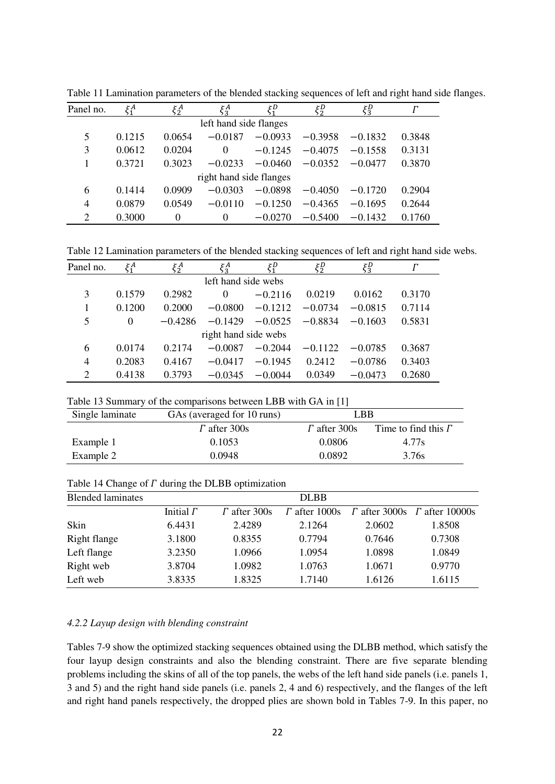| Panel no.               | $\xi_1^A$ | $\xi_2^A$ | $\xi_3^A$ | τD        | τD<br>52  | $\xi_3^D$ |        |  |
|-------------------------|-----------|-----------|-----------|-----------|-----------|-----------|--------|--|
| left hand side flanges  |           |           |           |           |           |           |        |  |
| 5                       | 0.1215    | 0.0654    | $-0.0187$ | $-0.0933$ | $-0.3958$ | $-0.1832$ | 0.3848 |  |
| 3                       | 0.0612    | 0.0204    | 0         | $-0.1245$ | $-0.4075$ | $-0.1558$ | 0.3131 |  |
|                         | 0.3721    | 0.3023    | $-0.0233$ | $-0.0460$ | $-0.0352$ | $-0.0477$ | 0.3870 |  |
| right hand side flanges |           |           |           |           |           |           |        |  |
| 6                       | 0.1414    | 0.0909    | $-0.0303$ | $-0.0898$ | $-0.4050$ | $-0.1720$ | 0.2904 |  |
| $\overline{4}$          | 0.0879    | 0.0549    | $-0.0110$ | $-0.1250$ | $-0.4365$ | $-0.1695$ | 0.2644 |  |
| 2                       | 0.3000    | 0         | 0         | $-0.0270$ | $-0.5400$ | $-0.1432$ | 0.1760 |  |

Table 11 Lamination parameters of the blended stacking sequences of left and right hand side flanges.

Table 12 Lamination parameters of the blended stacking sequences of left and right hand side webs.

| Panel no.                   | $\xi_1^A$ | ζA<br>52  | $\xi_3^A$ | τD        | ζD<br>2 <sub>2</sub> | $\xi_3^D$ |        |  |
|-----------------------------|-----------|-----------|-----------|-----------|----------------------|-----------|--------|--|
| left hand side webs         |           |           |           |           |                      |           |        |  |
| 3                           | 0.1579    | 0.2982    | $\theta$  | $-0.2116$ | 0.0219               | 0.0162    | 0.3170 |  |
|                             | 0.1200    | 0.2000    | $-0.0800$ | $-0.1212$ | $-0.0734$            | $-0.0815$ | 0.7114 |  |
| 5                           | 0         | $-0.4286$ | $-0.1429$ | $-0.0525$ | $-0.8834$            | $-0.1603$ | 0.5831 |  |
| right hand side webs        |           |           |           |           |                      |           |        |  |
| 6                           | 0.0174    | 0.2174    | $-0.0087$ | $-0.2044$ | $-0.1122$            | $-0.0785$ | 0.3687 |  |
| 4                           | 0.2083    | 0.4167    | $-0.0417$ | $-0.1945$ | 0.2412               | $-0.0786$ | 0.3403 |  |
| $\mathcal{D}_{\mathcal{A}}$ | 0.4138    | 0.3793    | $-0.0345$ | $-0.0044$ | 0.0349               | $-0.0473$ | 0.2680 |  |

| Table 13 Summary of the comparisons between LBB with GA in [1] |  |  |  |  |  |  |
|----------------------------------------------------------------|--|--|--|--|--|--|
|----------------------------------------------------------------|--|--|--|--|--|--|

| Single laminate | GAs (averaged for 10 runs) | LBB                 |                            |
|-----------------|----------------------------|---------------------|----------------------------|
|                 | $\Gamma$ after 300s        | $\Gamma$ after 300s | Time to find this $\Gamma$ |
| Example 1       | 0.1053                     | 0.0806              | 4.77s                      |
| Example 2       | 0.0948                     | 0.0892              | 3.76s                      |

Table 14 Change of  $\Gamma$  during the DLBB optimization

| <b>Blended laminates</b> |                  |                     | <b>DLBB</b>          |        |                                            |
|--------------------------|------------------|---------------------|----------------------|--------|--------------------------------------------|
|                          | Initial $\Gamma$ | $\Gamma$ after 300s | $\Gamma$ after 1000s |        | $\Gamma$ after 3000s $\Gamma$ after 10000s |
| Skin                     | 6.4431           | 2.4289              | 2.1264               | 2.0602 | 1.8508                                     |
| Right flange             | 3.1800           | 0.8355              | 0.7794               | 0.7646 | 0.7308                                     |
| Left flange              | 3.2350           | 1.0966              | 1.0954               | 1.0898 | 1.0849                                     |
| Right web                | 3.8704           | 1.0982              | 1.0763               | 1.0671 | 0.9770                                     |
| Left web                 | 3.8335           | 1.8325              | 1.7140               | 1.6126 | 1.6115                                     |

# *4.2.2 Layup design with blending constraint*

Tables 7-9 show the optimized stacking sequences obtained using the DLBB method, which satisfy the four layup design constraints and also the blending constraint. There are five separate blending problems including the skins of all of the top panels, the webs of the left hand side panels (i.e. panels 1, 3 and 5) and the right hand side panels (i.e. panels 2, 4 and 6) respectively, and the flanges of the left and right hand panels respectively, the dropped plies are shown bold in Tables 7-9. In this paper, no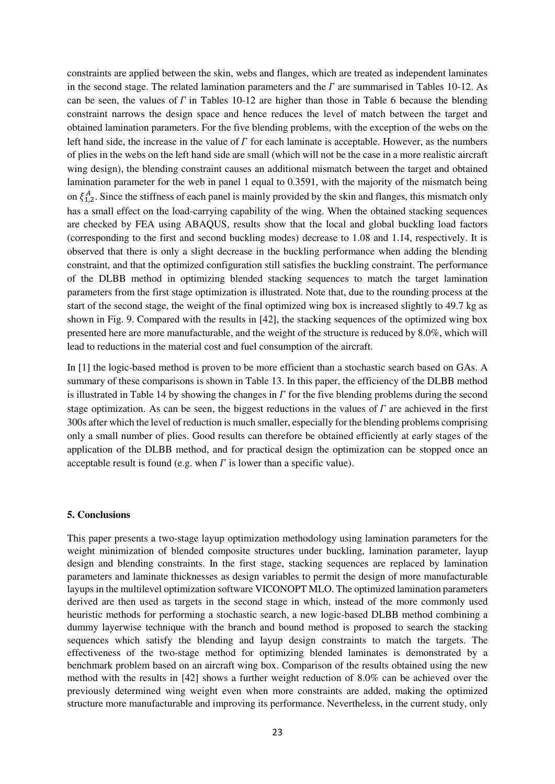constraints are applied between the skin, webs and flanges, which are treated as independent laminates in the second stage. The related lamination parameters and the  $\Gamma$  are summarised in Tables 10-12. As can be seen, the values of  $\Gamma$  in Tables 10-12 are higher than those in Table 6 because the blending constraint narrows the design space and hence reduces the level of match between the target and obtained lamination parameters. For the five blending problems, with the exception of the webs on the left hand side, the increase in the value of  $\Gamma$  for each laminate is acceptable. However, as the numbers of plies in the webs on the left hand side are small (which will not be the case in a more realistic aircraft wing design), the blending constraint causes an additional mismatch between the target and obtained lamination parameter for the web in panel 1 equal to 0.3591, with the majority of the mismatch being on  $\xi_{1,2}^A$ . Since the stiffness of each panel is mainly provided by the skin and flanges, this mismatch only has a small effect on the load-carrying capability of the wing. When the obtained stacking sequences are checked by FEA using ABAQUS, results show that the local and global buckling load factors (corresponding to the first and second buckling modes) decrease to 1.08 and 1.14, respectively. It is observed that there is only a slight decrease in the buckling performance when adding the blending constraint, and that the optimized configuration still satisfies the buckling constraint. The performance of the DLBB method in optimizing blended stacking sequences to match the target lamination parameters from the first stage optimization is illustrated. Note that, due to the rounding process at the start of the second stage, the weight of the final optimized wing box is increased slightly to 49.7 kg as shown in Fig. 9. Compared with the results in [42], the stacking sequences of the optimized wing box presented here are more manufacturable, and the weight of the structure is reduced by 8.0%, which will lead to reductions in the material cost and fuel consumption of the aircraft.

In [1] the logic-based method is proven to be more efficient than a stochastic search based on GAs. A summary of these comparisons is shown in Table 13. In this paper, the efficiency of the DLBB method is illustrated in Table 14 by showing the changes in  $\Gamma$  for the five blending problems during the second stage optimization. As can be seen, the biggest reductions in the values of  $\Gamma$  are achieved in the first 300s after which the level of reduction is much smaller, especially for the blending problems comprising only a small number of plies. Good results can therefore be obtained efficiently at early stages of the application of the DLBB method, and for practical design the optimization can be stopped once an acceptable result is found (e.g. when  $\Gamma$  is lower than a specific value).

#### **5. Conclusions**

This paper presents a two-stage layup optimization methodology using lamination parameters for the weight minimization of blended composite structures under buckling, lamination parameter, layup design and blending constraints. In the first stage, stacking sequences are replaced by lamination parameters and laminate thicknesses as design variables to permit the design of more manufacturable layups in the multilevel optimization software VICONOPT MLO. The optimized lamination parameters derived are then used as targets in the second stage in which, instead of the more commonly used heuristic methods for performing a stochastic search, a new logic-based DLBB method combining a dummy layerwise technique with the branch and bound method is proposed to search the stacking sequences which satisfy the blending and layup design constraints to match the targets. The effectiveness of the two-stage method for optimizing blended laminates is demonstrated by a benchmark problem based on an aircraft wing box. Comparison of the results obtained using the new method with the results in [42] shows a further weight reduction of 8.0% can be achieved over the previously determined wing weight even when more constraints are added, making the optimized structure more manufacturable and improving its performance. Nevertheless, in the current study, only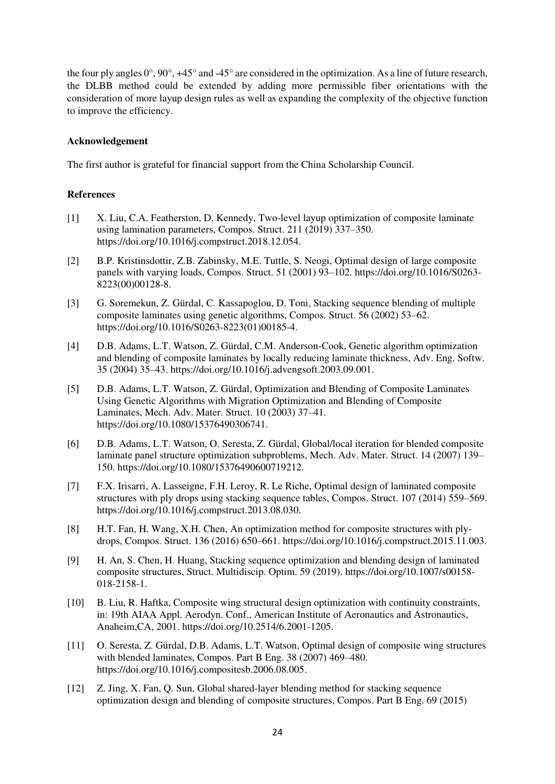the four ply angles  $0^{\circ}$ ,  $90^{\circ}$ ,  $+45^{\circ}$  and  $-45^{\circ}$  are considered in the optimization. As a line of future research, the DLBB method could be extended by adding more permissible fiber orientations with the consideration of more layup design rules as well as expanding the complexity of the objective function to improve the efficiency.

# **Acknowledgement**

The first author is grateful for financial support from the China Scholarship Council.

# **References**

- [1] X. Liu, C.A. Featherston, D. Kennedy, Two-level layup optimization of composite laminate using lamination parameters, Compos. Struct. 211 (2019) 337–350. https://doi.org/10.1016/j.compstruct.2018.12.054.
- [2] B.P. Kristinsdottir, Z.B. Zabinsky, M.E. Tuttle, S. Neogi, Optimal design of large composite panels with varying loads, Compos. Struct. 51 (2001) 93–102. https://doi.org/10.1016/S0263- 8223(00)00128-8.
- [3] G. Soremekun, Z. Gürdal, C. Kassapoglou, D. Toni, Stacking sequence blending of multiple composite laminates using genetic algorithms, Compos. Struct. 56 (2002) 53–62. https://doi.org/10.1016/S0263-8223(01)00185-4.
- [4] D.B. Adams, L.T. Watson, Z. Gürdal, C.M. Anderson-Cook, Genetic algorithm optimization and blending of composite laminates by locally reducing laminate thickness, Adv. Eng. Softw. 35 (2004) 35–43. https://doi.org/10.1016/j.advengsoft.2003.09.001.
- [5] D.B. Adams, L.T. Watson, Z. Gürdal, Optimization and Blending of Composite Laminates Using Genetic Algorithms with Migration Optimization and Blending of Composite Laminates, Mech. Adv. Mater. Struct. 10 (2003) 37–41. https://doi.org/10.1080/15376490306741.
- [6] D.B. Adams, L.T. Watson, O. Seresta, Z. Gürdal, Global/local iteration for blended composite laminate panel structure optimization subproblems, Mech. Adv. Mater. Struct. 14 (2007) 139– 150. https://doi.org/10.1080/15376490600719212.
- [7] F.X. Irisarri, A. Lasseigne, F.H. Leroy, R. Le Riche, Optimal design of laminated composite structures with ply drops using stacking sequence tables, Compos. Struct. 107 (2014) 559–569. https://doi.org/10.1016/j.compstruct.2013.08.030.
- [8] H.T. Fan, H. Wang, X.H. Chen, An optimization method for composite structures with plydrops, Compos. Struct. 136 (2016) 650–661. https://doi.org/10.1016/j.compstruct.2015.11.003.
- [9] H. An, S. Chen, H. Huang, Stacking sequence optimization and blending design of laminated composite structures, Struct. Multidiscip. Optim. 59 (2019). https://doi.org/10.1007/s00158- 018-2158-1.
- [10] B. Liu, R. Haftka, Composite wing structural design optimization with continuity constraints, in: 19th AIAA Appl. Aerodyn. Conf., American Institute of Aeronautics and Astronautics, Anaheim,CA, 2001. https://doi.org/10.2514/6.2001-1205.
- [11] O. Seresta, Z. Gürdal, D.B. Adams, L.T. Watson, Optimal design of composite wing structures with blended laminates, Compos. Part B Eng. 38 (2007) 469–480. https://doi.org/10.1016/j.compositesb.2006.08.005.
- [12] Z. Jing, X. Fan, Q. Sun, Global shared-layer blending method for stacking sequence optimization design and blending of composite structures, Compos. Part B Eng. 69 (2015)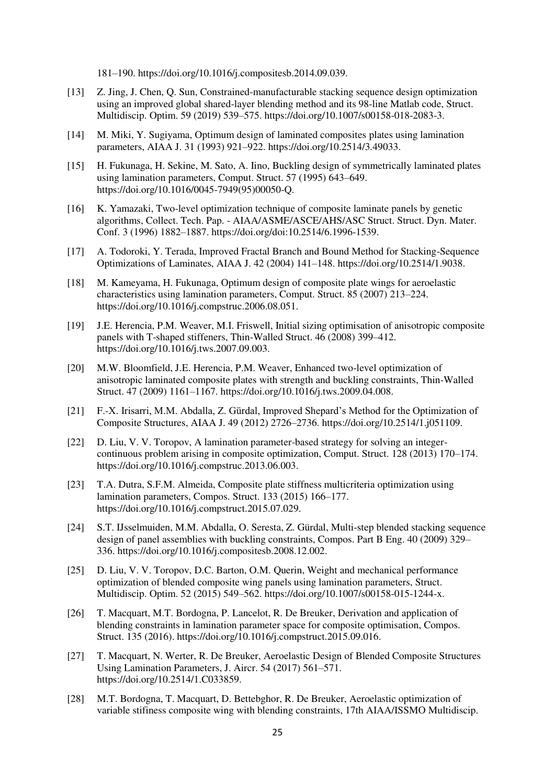181–190. https://doi.org/10.1016/j.compositesb.2014.09.039.

- [13] Z. Jing, J. Chen, Q. Sun, Constrained-manufacturable stacking sequence design optimization using an improved global shared-layer blending method and its 98-line Matlab code, Struct. Multidiscip. Optim. 59 (2019) 539–575. https://doi.org/10.1007/s00158-018-2083-3.
- [14] M. Miki, Y. Sugiyama, Optimum design of laminated composites plates using lamination parameters, AIAA J. 31 (1993) 921–922. https://doi.org/10.2514/3.49033.
- [15] H. Fukunaga, H. Sekine, M. Sato, A. Iino, Buckling design of symmetrically laminated plates using lamination parameters, Comput. Struct. 57 (1995) 643–649. https://doi.org/10.1016/0045-7949(95)00050-Q.
- [16] K. Yamazaki, Two-level optimization technique of composite laminate panels by genetic algorithms, Collect. Tech. Pap. - AIAA/ASME/ASCE/AHS/ASC Struct. Struct. Dyn. Mater. Conf. 3 (1996) 1882–1887. https://doi.org/doi:10.2514/6.1996-1539.
- [17] A. Todoroki, Y. Terada, Improved Fractal Branch and Bound Method for Stacking-Sequence Optimizations of Laminates, AIAA J. 42 (2004) 141–148. https://doi.org/10.2514/1.9038.
- [18] M. Kameyama, H. Fukunaga, Optimum design of composite plate wings for aeroelastic characteristics using lamination parameters, Comput. Struct. 85 (2007) 213–224. https://doi.org/10.1016/j.compstruc.2006.08.051.
- [19] J.E. Herencia, P.M. Weaver, M.I. Friswell, Initial sizing optimisation of anisotropic composite panels with T-shaped stiffeners, Thin-Walled Struct. 46 (2008) 399–412. https://doi.org/10.1016/j.tws.2007.09.003.
- [20] M.W. Bloomfield, J.E. Herencia, P.M. Weaver, Enhanced two-level optimization of anisotropic laminated composite plates with strength and buckling constraints, Thin-Walled Struct. 47 (2009) 1161–1167. https://doi.org/10.1016/j.tws.2009.04.008.
- [21] F.-X. Irisarri, M.M. Abdalla, Z. Gürdal, Improved Shepard's Method for the Optimization of Composite Structures, AIAA J. 49 (2012) 2726–2736. https://doi.org/10.2514/1.j051109.
- [22] D. Liu, V. V. Toropov, A lamination parameter-based strategy for solving an integercontinuous problem arising in composite optimization, Comput. Struct. 128 (2013) 170–174. https://doi.org/10.1016/j.compstruc.2013.06.003.
- [23] T.A. Dutra, S.F.M. Almeida, Composite plate stiffness multicriteria optimization using lamination parameters, Compos. Struct. 133 (2015) 166–177. https://doi.org/10.1016/j.compstruct.2015.07.029.
- [24] S.T. IJsselmuiden, M.M. Abdalla, O. Seresta, Z. Gürdal, Multi-step blended stacking sequence design of panel assemblies with buckling constraints, Compos. Part B Eng. 40 (2009) 329– 336. https://doi.org/10.1016/j.compositesb.2008.12.002.
- [25] D. Liu, V. V. Toropov, D.C. Barton, O.M. Querin, Weight and mechanical performance optimization of blended composite wing panels using lamination parameters, Struct. Multidiscip. Optim. 52 (2015) 549–562. https://doi.org/10.1007/s00158-015-1244-x.
- [26] T. Macquart, M.T. Bordogna, P. Lancelot, R. De Breuker, Derivation and application of blending constraints in lamination parameter space for composite optimisation, Compos. Struct. 135 (2016). https://doi.org/10.1016/j.compstruct.2015.09.016.
- [27] T. Macquart, N. Werter, R. De Breuker, Aeroelastic Design of Blended Composite Structures Using Lamination Parameters, J. Aircr. 54 (2017) 561–571. https://doi.org/10.2514/1.C033859.
- [28] M.T. Bordogna, T. Macquart, D. Bettebghor, R. De Breuker, Aeroelastic optimization of variable stifiness composite wing with blending constraints, 17th AIAA/ISSMO Multidiscip.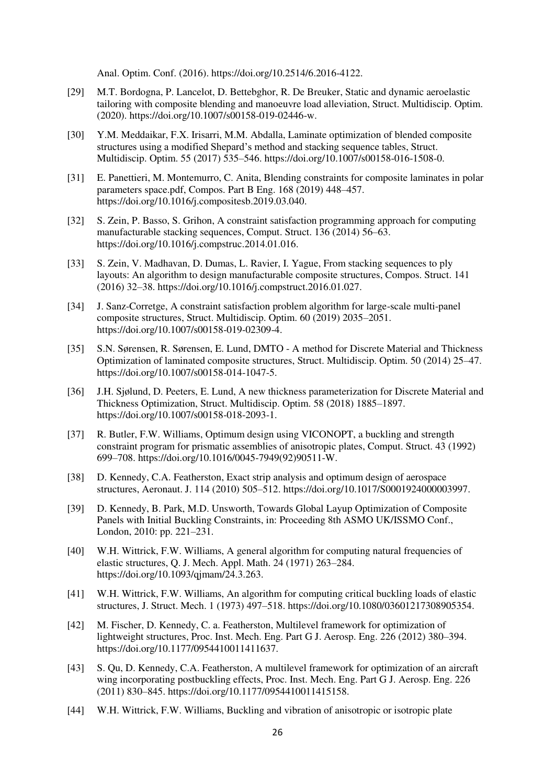Anal. Optim. Conf. (2016). https://doi.org/10.2514/6.2016-4122.

- [29] M.T. Bordogna, P. Lancelot, D. Bettebghor, R. De Breuker, Static and dynamic aeroelastic tailoring with composite blending and manoeuvre load alleviation, Struct. Multidiscip. Optim. (2020). https://doi.org/10.1007/s00158-019-02446-w.
- [30] Y.M. Meddaikar, F.X. Irisarri, M.M. Abdalla, Laminate optimization of blended composite structures using a modified Shepard's method and stacking sequence tables, Struct. Multidiscip. Optim. 55 (2017) 535–546. https://doi.org/10.1007/s00158-016-1508-0.
- [31] E. Panettieri, M. Montemurro, C. Anita, Blending constraints for composite laminates in polar parameters space.pdf, Compos. Part B Eng. 168 (2019) 448–457. https://doi.org/10.1016/j.compositesb.2019.03.040.
- [32] S. Zein, P. Basso, S. Grihon, A constraint satisfaction programming approach for computing manufacturable stacking sequences, Comput. Struct. 136 (2014) 56–63. https://doi.org/10.1016/j.compstruc.2014.01.016.
- [33] S. Zein, V. Madhavan, D. Dumas, L. Ravier, I. Yague, From stacking sequences to ply layouts: An algorithm to design manufacturable composite structures, Compos. Struct. 141 (2016) 32–38. https://doi.org/10.1016/j.compstruct.2016.01.027.
- [34] J. Sanz-Corretge, A constraint satisfaction problem algorithm for large-scale multi-panel composite structures, Struct. Multidiscip. Optim. 60 (2019) 2035–2051. https://doi.org/10.1007/s00158-019-02309-4.
- [35] S.N. Sørensen, R. Sørensen, E. Lund, DMTO A method for Discrete Material and Thickness Optimization of laminated composite structures, Struct. Multidiscip. Optim. 50 (2014) 25–47. https://doi.org/10.1007/s00158-014-1047-5.
- [36] J.H. Sjølund, D. Peeters, E. Lund, A new thickness parameterization for Discrete Material and Thickness Optimization, Struct. Multidiscip. Optim. 58 (2018) 1885–1897. https://doi.org/10.1007/s00158-018-2093-1.
- [37] R. Butler, F.W. Williams, Optimum design using VICONOPT, a buckling and strength constraint program for prismatic assemblies of anisotropic plates, Comput. Struct. 43 (1992) 699–708. https://doi.org/10.1016/0045-7949(92)90511-W.
- [38] D. Kennedy, C.A. Featherston, Exact strip analysis and optimum design of aerospace structures, Aeronaut. J. 114 (2010) 505–512. https://doi.org/10.1017/S0001924000003997.
- [39] D. Kennedy, B. Park, M.D. Unsworth, Towards Global Layup Optimization of Composite Panels with Initial Buckling Constraints, in: Proceeding 8th ASMO UK/ISSMO Conf., London, 2010: pp. 221–231.
- [40] W.H. Wittrick, F.W. Williams, A general algorithm for computing natural frequencies of elastic structures, Q. J. Mech. Appl. Math. 24 (1971) 263–284. https://doi.org/10.1093/qjmam/24.3.263.
- [41] W.H. Wittrick, F.W. Williams, An algorithm for computing critical buckling loads of elastic structures, J. Struct. Mech. 1 (1973) 497–518. https://doi.org/10.1080/03601217308905354.
- [42] M. Fischer, D. Kennedy, C. a. Featherston, Multilevel framework for optimization of lightweight structures, Proc. Inst. Mech. Eng. Part G J. Aerosp. Eng. 226 (2012) 380–394. https://doi.org/10.1177/0954410011411637.
- [43] S. Qu, D. Kennedy, C.A. Featherston, A multilevel framework for optimization of an aircraft wing incorporating postbuckling effects, Proc. Inst. Mech. Eng. Part G J. Aerosp. Eng. 226 (2011) 830–845. https://doi.org/10.1177/0954410011415158.
- [44] W.H. Wittrick, F.W. Williams, Buckling and vibration of anisotropic or isotropic plate